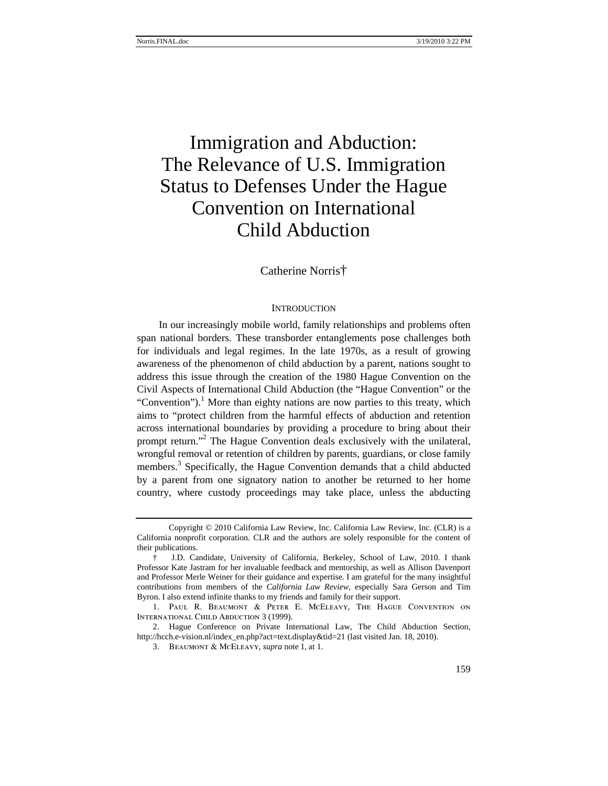# Immigration and Abduction: The Relevance of U.S. Immigration Status to Defenses Under the Hague Convention on International Child Abduction

Catherine Norris†

## **INTRODUCTION**

In our increasingly mobile world, family relationships and problems often span national borders. These transborder entanglements pose challenges both for individuals and legal regimes. In the late 1970s, as a result of growing awareness of the phenomenon of child abduction by a parent, nations sought to address this issue through the creation of the 1980 Hague Convention on the Civil Aspects of International Child Abduction (the "Hague Convention" or the "Convention").<sup>1</sup> More than eighty nations are now parties to this treaty, which aims to "protect children from the harmful effects of abduction and retention across international boundaries by providing a procedure to bring about their prompt return."<sup>2</sup> The Hague Convention deals exclusively with the unilateral, wrongful removal or retention of children by parents, guardians, or close family members.<sup>3</sup> Specifically, the Hague Convention demands that a child abducted by a parent from one signatory nation to another be returned to her home country, where custody proceedings may take place, unless the abducting

Copyright © 2010 California Law Review, Inc. California Law Review, Inc. (CLR) is a California nonprofit corporation. CLR and the authors are solely responsible for the content of their publications.

<sup>†</sup> J.D. Candidate, University of California, Berkeley, School of Law, 2010. I thank Professor Kate Jastram for her invaluable feedback and mentorship, as well as Allison Davenport and Professor Merle Weiner for their guidance and expertise. I am grateful for the many insightful contributions from members of the *California Law Review*, especially Sara Gerson and Tim Byron. I also extend infinite thanks to my friends and family for their support.

<sup>1.</sup> Paul R. Beaumont & Peter E. McEleavy, The Hague Convention on International Child Abduction 3 (1999).

<sup>2.</sup> Hague Conference on Private International Law, The Child Abduction Section, http://hcch.e-vision.nl/index\_en.php?act=text.display&tid=21 (last visited Jan. 18, 2010).

<sup>3.</sup> Beaumont & McEleavy, *supra* note 1, at 1.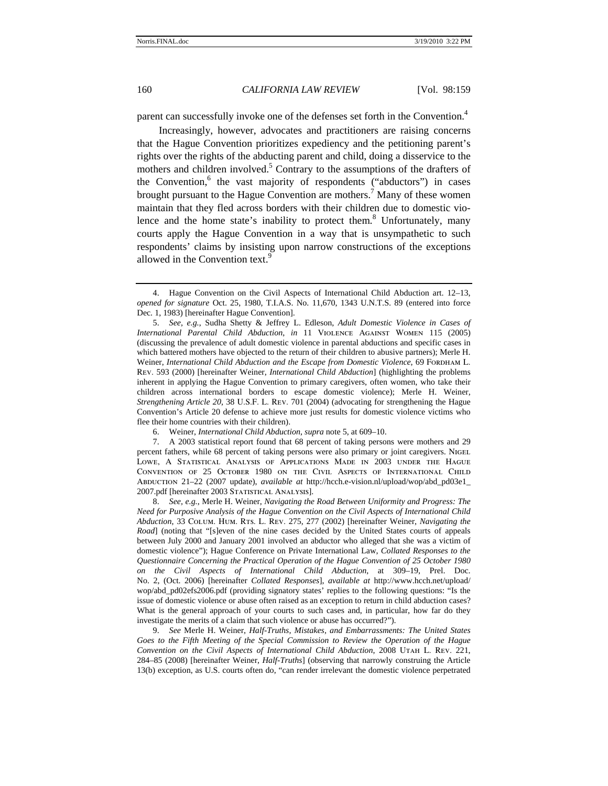parent can successfully invoke one of the defenses set forth in the Convention.<sup>4</sup>

Increasingly, however, advocates and practitioners are raising concerns that the Hague Convention prioritizes expediency and the petitioning parent's rights over the rights of the abducting parent and child, doing a disservice to the mothers and children involved.<sup>5</sup> Contrary to the assumptions of the drafters of the Convention,<sup>6</sup> the vast majority of respondents ("abductors") in cases brought pursuant to the Hague Convention are mothers.<sup>7</sup> Many of these women maintain that they fled across borders with their children due to domestic violence and the home state's inability to protect them. $8$  Unfortunately, many courts apply the Hague Convention in a way that is unsympathetic to such respondents' claims by insisting upon narrow constructions of the exceptions allowed in the Convention text.<sup>9</sup>

5. *See, e.g.*, Sudha Shetty & Jeffrey L. Edleson, *Adult Domestic Violence in Cases of International Parental Child Abduction*, *in* 11 Violence Against Women 115 (2005) (discussing the prevalence of adult domestic violence in parental abductions and specific cases in which battered mothers have objected to the return of their children to abusive partners); Merle H. Weiner, *International Child Abduction and the Escape from Domestic Violence*, 69 FORDHAM L. Rev. 593 (2000) [hereinafter Weiner, *International Child Abduction*] (highlighting the problems inherent in applying the Hague Convention to primary caregivers, often women, who take their children across international borders to escape domestic violence); Merle H. Weiner, *Strengthening Article 20*, 38 U.S.F. L. Rev. 701 (2004) (advocating for strengthening the Hague Convention's Article 20 defense to achieve more just results for domestic violence victims who flee their home countries with their children).

7. A 2003 statistical report found that 68 percent of taking persons were mothers and 29 percent fathers, while 68 percent of taking persons were also primary or joint caregivers. NIGEL Lowe, A Statistical Analysis of Applications Made in 2003 under the Hague Convention of 25 October 1980 on the Civil Aspects of International Child Abduction 21–22 (2007 update), *available at* http://hcch.e-vision.nl/upload/wop/abd\_pd03e1\_ 2007.pdf [hereinafter 2003 STATISTICAL ANALYSIS].

8. *See, e.g.*, Merle H. Weiner, *Navigating the Road Between Uniformity and Progress: The Need for Purposive Analysis of the Hague Convention on the Civil Aspects of International Child Abduction*, 33 Colum. Hum. Rts. L. Rev. 275, 277 (2002) [hereinafter Weiner, *Navigating the Road*] (noting that "[s]even of the nine cases decided by the United States courts of appeals between July 2000 and January 2001 involved an abductor who alleged that she was a victim of domestic violence"); Hague Conference on Private International Law, *Collated Responses to the Questionnaire Concerning the Practical Operation of the Hague Convention of 25 October 1980 on the Civil Aspects of International Child Abduction*, at 309–19, Prel. Doc. No. 2, (Oct. 2006) [hereinafter *Collated Responses*], *available at* http://www.hcch.net/upload/ wop/abd\_pd02efs2006.pdf (providing signatory states' replies to the following questions: "Is the issue of domestic violence or abuse often raised as an exception to return in child abduction cases? What is the general approach of your courts to such cases and, in particular, how far do they investigate the merits of a claim that such violence or abuse has occurred?").

9. *See* Merle H. Weiner, *Half-Truths, Mistakes, and Embarrassments: The United States Goes to the Fifth Meeting of the Special Commission to Review the Operation of the Hague Convention on the Civil Aspects of International Child Abduction*, 2008 Utah L. Rev. 221, 284–85 (2008) [hereinafter Weiner, *Half-Truths*] (observing that narrowly construing the Article 13(b) exception, as U.S. courts often do, "can render irrelevant the domestic violence perpetrated

<sup>4.</sup> Hague Convention on the Civil Aspects of International Child Abduction art. 12–13, *opened for signature* Oct. 25, 1980, T.I.A.S. No. 11,670, 1343 U.N.T.S. 89 (entered into force Dec. 1, 1983) [hereinafter Hague Convention].

<sup>6.</sup> Weiner, *International Child Abduction*, *supra* note 5, at 609–10.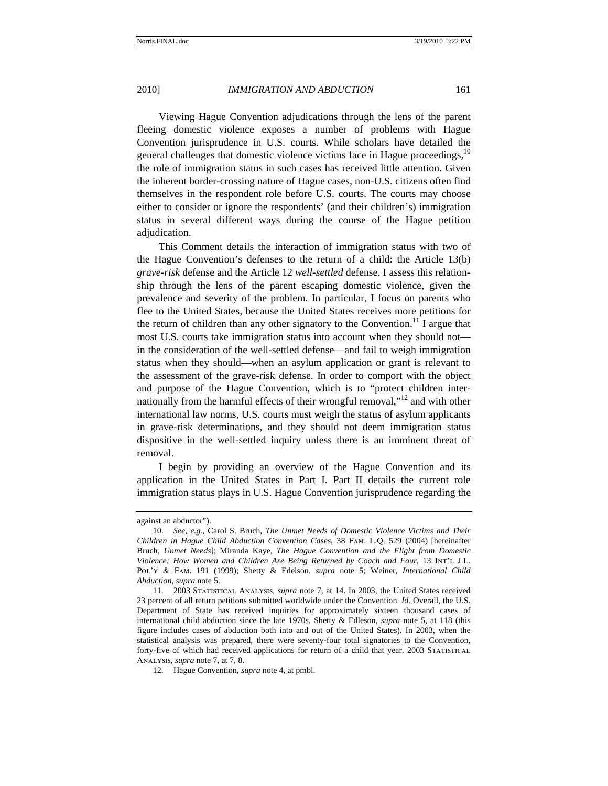Viewing Hague Convention adjudications through the lens of the parent fleeing domestic violence exposes a number of problems with Hague Convention jurisprudence in U.S. courts. While scholars have detailed the general challenges that domestic violence victims face in Hague proceedings, $10$ the role of immigration status in such cases has received little attention. Given the inherent border-crossing nature of Hague cases, non-U.S. citizens often find themselves in the respondent role before U.S. courts. The courts may choose either to consider or ignore the respondents' (and their children's) immigration status in several different ways during the course of the Hague petition adjudication.

This Comment details the interaction of immigration status with two of the Hague Convention's defenses to the return of a child: the Article 13(b) *grave-risk* defense and the Article 12 *well-settled* defense. I assess this relationship through the lens of the parent escaping domestic violence, given the prevalence and severity of the problem. In particular, I focus on parents who flee to the United States, because the United States receives more petitions for the return of children than any other signatory to the Convention.<sup>11</sup> I argue that most U.S. courts take immigration status into account when they should not in the consideration of the well-settled defense—and fail to weigh immigration status when they should—when an asylum application or grant is relevant to the assessment of the grave-risk defense. In order to comport with the object and purpose of the Hague Convention, which is to "protect children internationally from the harmful effects of their wrongful removal,"<sup>12</sup> and with other international law norms, U.S. courts must weigh the status of asylum applicants in grave-risk determinations, and they should not deem immigration status dispositive in the well-settled inquiry unless there is an imminent threat of removal.

I begin by providing an overview of the Hague Convention and its application in the United States in Part I. Part II details the current role immigration status plays in U.S. Hague Convention jurisprudence regarding the

against an abductor").

<sup>10.</sup> *See, e.g.*, Carol S. Bruch, *The Unmet Needs of Domestic Violence Victims and Their Children in Hague Child Abduction Convention Cases*, 38 Fam. L.Q. 529 (2004) [hereinafter Bruch, *Unmet Needs*]; Miranda Kaye, *The Hague Convention and the Flight from Domestic Violence: How Women and Children Are Being Returned by Coach and Four*, 13 Int'l J.L. Pol'y & Fam. 191 (1999); Shetty & Edelson, *supra* note 5; Weiner, *International Child Abduction*, *supra* note 5.

<sup>11. 2003</sup> Statistical Analysis, *supra* note 7, at 14. In 2003, the United States received 23 percent of all return petitions submitted worldwide under the Convention. *Id.* Overall, the U.S. Department of State has received inquiries for approximately sixteen thousand cases of international child abduction since the late 1970s. Shetty & Edleson, *supra* note 5, at 118 (this figure includes cases of abduction both into and out of the United States). In 2003, when the statistical analysis was prepared, there were seventy-four total signatories to the Convention, forty-five of which had received applications for return of a child that year. 2003 STATISTICAL Analysis, *supra* note 7, at 7, 8.

<sup>12.</sup> Hague Convention, *supra* note 4, at pmbl.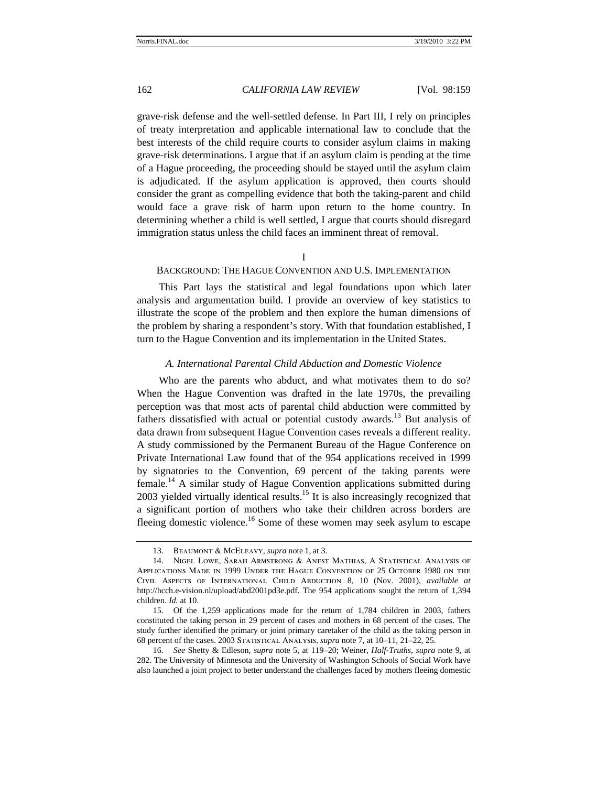grave-risk defense and the well-settled defense. In Part III, I rely on principles of treaty interpretation and applicable international law to conclude that the best interests of the child require courts to consider asylum claims in making grave-risk determinations. I argue that if an asylum claim is pending at the time of a Hague proceeding, the proceeding should be stayed until the asylum claim is adjudicated. If the asylum application is approved, then courts should consider the grant as compelling evidence that both the taking-parent and child would face a grave risk of harm upon return to the home country. In determining whether a child is well settled, I argue that courts should disregard immigration status unless the child faces an imminent threat of removal.

I

## BACKGROUND: THE HAGUE CONVENTION AND U.S. IMPLEMENTATION

This Part lays the statistical and legal foundations upon which later analysis and argumentation build. I provide an overview of key statistics to illustrate the scope of the problem and then explore the human dimensions of the problem by sharing a respondent's story. With that foundation established, I turn to the Hague Convention and its implementation in the United States.

#### *A. International Parental Child Abduction and Domestic Violence*

Who are the parents who abduct, and what motivates them to do so? When the Hague Convention was drafted in the late 1970s, the prevailing perception was that most acts of parental child abduction were committed by fathers dissatisfied with actual or potential custody awards.<sup>13</sup> But analysis of data drawn from subsequent Hague Convention cases reveals a different reality. A study commissioned by the Permanent Bureau of the Hague Conference on Private International Law found that of the 954 applications received in 1999 by signatories to the Convention, 69 percent of the taking parents were female.14 A similar study of Hague Convention applications submitted during 2003 yielded virtually identical results.<sup>15</sup> It is also increasingly recognized that a significant portion of mothers who take their children across borders are fleeing domestic violence.<sup>16</sup> Some of these women may seek asylum to escape

<sup>13.</sup> Beaumont & McEleavy, *supra* note 1, at 3.

<sup>14.</sup> Nigel Lowe, Sarah Armstrong & Anest Mathias, A Statistical Analysis of Applications Made in 1999 Under the Hague Convention of 25 October 1980 on the Civil Aspects of International Child Abduction 8, 10 (Nov. 2001), *available at*  http://hcch.e-vision.nl/upload/abd2001pd3e.pdf. The 954 applications sought the return of 1,394 children. *Id.* at 10.

<sup>15.</sup> Of the 1,259 applications made for the return of 1,784 children in 2003, fathers constituted the taking person in 29 percent of cases and mothers in 68 percent of the cases. The study further identified the primary or joint primary caretaker of the child as the taking person in 68 percent of the cases. 2003 Statistical Analysis, *supra* note 7, at 10–11, 21–22, 25.

<sup>16.</sup> *See* Shetty & Edleson, *supra* note 5, at 119–20; Weiner, *Half-Truths*, *supra* note 9, at 282. The University of Minnesota and the University of Washington Schools of Social Work have also launched a joint project to better understand the challenges faced by mothers fleeing domestic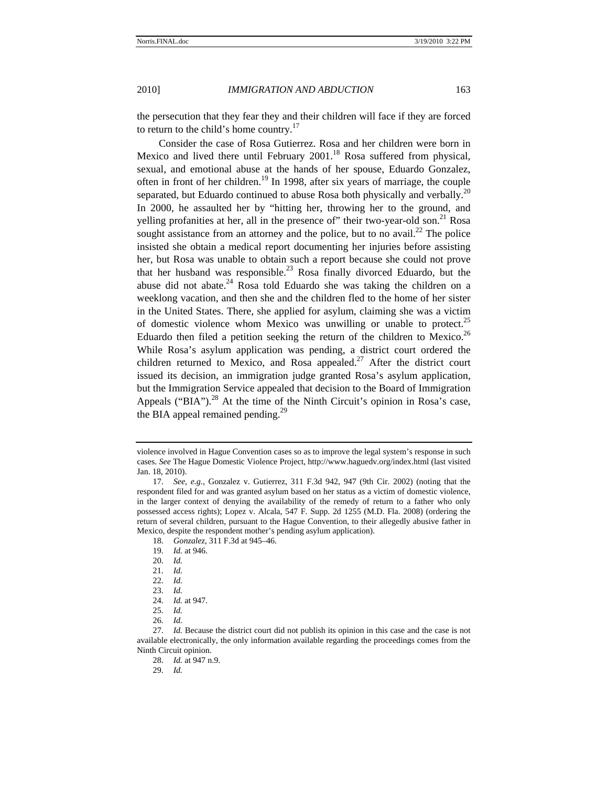the persecution that they fear they and their children will face if they are forced to return to the child's home country. $17$ 

Consider the case of Rosa Gutierrez. Rosa and her children were born in Mexico and lived there until February 2001.<sup>18</sup> Rosa suffered from physical, sexual, and emotional abuse at the hands of her spouse, Eduardo Gonzalez, often in front of her children.<sup>19</sup> In 1998, after six years of marriage, the couple separated, but Eduardo continued to abuse Rosa both physically and verbally.<sup>20</sup> In 2000, he assaulted her by "hitting her, throwing her to the ground, and yelling profanities at her, all in the presence of" their two-year-old son.<sup>21</sup> Rosa sought assistance from an attorney and the police, but to no avail.<sup>22</sup> The police insisted she obtain a medical report documenting her injuries before assisting her, but Rosa was unable to obtain such a report because she could not prove that her husband was responsible.<sup>23</sup> Rosa finally divorced Eduardo, but the abuse did not abate. $24$  Rosa told Eduardo she was taking the children on a weeklong vacation, and then she and the children fled to the home of her sister in the United States. There, she applied for asylum, claiming she was a victim of domestic violence whom Mexico was unwilling or unable to protect.<sup>25</sup> Eduardo then filed a petition seeking the return of the children to Mexico.<sup>26</sup> While Rosa's asylum application was pending, a district court ordered the children returned to Mexico, and Rosa appealed.<sup>27</sup> After the district court issued its decision, an immigration judge granted Rosa's asylum application, but the Immigration Service appealed that decision to the Board of Immigration Appeals ("BIA").<sup>28</sup> At the time of the Ninth Circuit's opinion in Rosa's case, the BIA appeal remained pending.<sup>29</sup>

violence involved in Hague Convention cases so as to improve the legal system's response in such cases. *See* The Hague Domestic Violence Project, http://www.haguedv.org/index.html (last visited Jan. 18, 2010).

<sup>17.</sup> *See, e.g.*, Gonzalez v. Gutierrez, 311 F.3d 942, 947 (9th Cir. 2002) (noting that the respondent filed for and was granted asylum based on her status as a victim of domestic violence, in the larger context of denying the availability of the remedy of return to a father who only possessed access rights); Lopez v. Alcala, 547 F. Supp. 2d 1255 (M.D. Fla. 2008) (ordering the return of several children, pursuant to the Hague Convention, to their allegedly abusive father in Mexico, despite the respondent mother's pending asylum application).

<sup>18.</sup> *Gonzalez*, 311 F.3d at 945–46.

<sup>19.</sup> *Id.* at 946.

<sup>20.</sup> *Id.*

<sup>21.</sup> *Id.*

<sup>22.</sup> *Id.*

<sup>23.</sup> *Id.*

<sup>24.</sup> *Id.* at 947.

<sup>25.</sup> *Id.*

<sup>26.</sup> *Id.*

<sup>27.</sup> *Id.* Because the district court did not publish its opinion in this case and the case is not available electronically, the only information available regarding the proceedings comes from the Ninth Circuit opinion.

<sup>28.</sup> *Id.* at 947 n.9.

<sup>29.</sup> *Id.*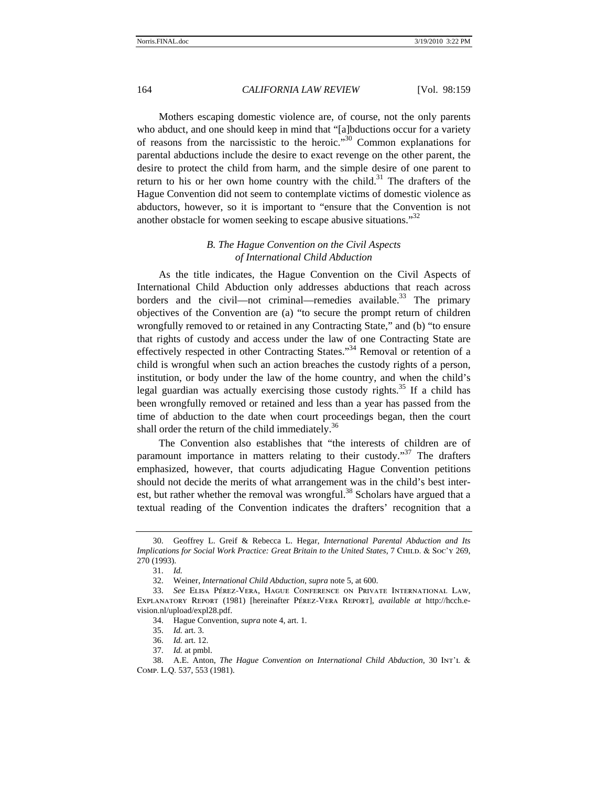Mothers escaping domestic violence are, of course, not the only parents who abduct, and one should keep in mind that "[a]bductions occur for a variety of reasons from the narcissistic to the heroic."30 Common explanations for parental abductions include the desire to exact revenge on the other parent, the desire to protect the child from harm, and the simple desire of one parent to return to his or her own home country with the child.<sup>31</sup> The drafters of the Hague Convention did not seem to contemplate victims of domestic violence as abductors, however, so it is important to "ensure that the Convention is not another obstacle for women seeking to escape abusive situations."<sup>32</sup>

# *B. The Hague Convention on the Civil Aspects of International Child Abduction*

As the title indicates, the Hague Convention on the Civil Aspects of International Child Abduction only addresses abductions that reach across borders and the civil—not criminal—remedies available.<sup>33</sup> The primary objectives of the Convention are (a) "to secure the prompt return of children wrongfully removed to or retained in any Contracting State," and (b) "to ensure that rights of custody and access under the law of one Contracting State are effectively respected in other Contracting States."<sup>34</sup> Removal or retention of a child is wrongful when such an action breaches the custody rights of a person, institution, or body under the law of the home country, and when the child's legal guardian was actually exercising those custody rights.<sup>35</sup> If a child has been wrongfully removed or retained and less than a year has passed from the time of abduction to the date when court proceedings began, then the court shall order the return of the child immediately.<sup>36</sup>

The Convention also establishes that "the interests of children are of paramount importance in matters relating to their custody.<sup>37</sup> The drafters emphasized, however, that courts adjudicating Hague Convention petitions should not decide the merits of what arrangement was in the child's best interest, but rather whether the removal was wrongful.<sup>38</sup> Scholars have argued that a textual reading of the Convention indicates the drafters' recognition that a

<sup>30.</sup> Geoffrey L. Greif & Rebecca L. Hegar, *International Parental Abduction and Its Implications for Social Work Practice: Great Britain to the United States, 7 CHILD. & Soc'y 269,* 270 (1993).

<sup>31.</sup> *Id.*

<sup>32.</sup> Weiner, *International Child Abduction*, *supra* note 5, at 600.

<sup>33.</sup> *See* Elisa Pérez-Vera, Hague Conference on Private International Law, Explanatory Report (1981) [hereinafter Pérez-Vera Report], *available at* http://hcch.evision.nl/upload/expl28.pdf.

<sup>34.</sup> Hague Convention, *supra* note 4, art. 1.

<sup>35.</sup> *Id.* art. 3.

<sup>36.</sup> *Id.* art. 12.

<sup>37.</sup> *Id.* at pmbl.

<sup>38.</sup> A.E. Anton, *The Hague Convention on International Child Abduction*, 30 Int'l & Comp. L.Q. 537, 553 (1981).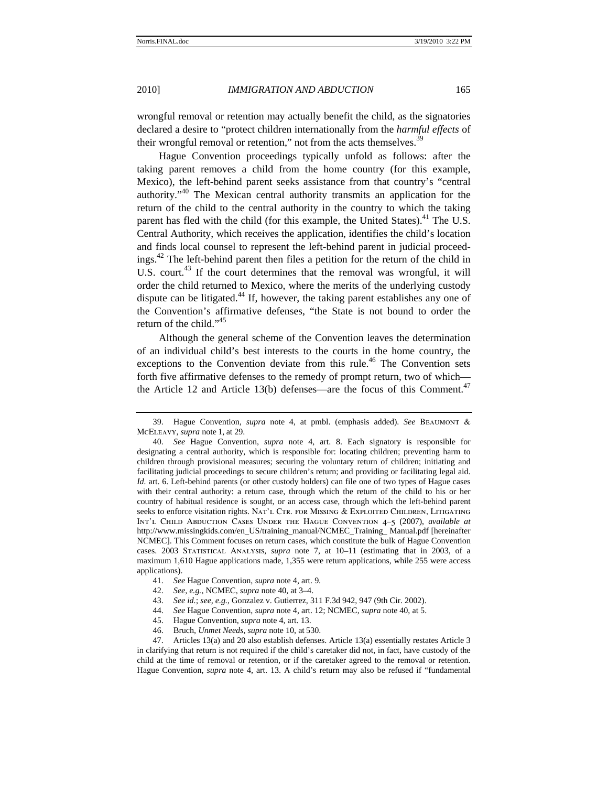wrongful removal or retention may actually benefit the child, as the signatories declared a desire to "protect children internationally from the *harmful effects* of their wrongful removal or retention," not from the acts themselves.<sup>39</sup>

Hague Convention proceedings typically unfold as follows: after the taking parent removes a child from the home country (for this example, Mexico), the left-behind parent seeks assistance from that country's "central authority."<sup>40</sup> The Mexican central authority transmits an application for the return of the child to the central authority in the country to which the taking parent has fled with the child (for this example, the United States).<sup>41</sup> The U.S. Central Authority, which receives the application, identifies the child's location and finds local counsel to represent the left-behind parent in judicial proceedings.<sup>42</sup> The left-behind parent then files a petition for the return of the child in U.S. court.<sup>43</sup> If the court determines that the removal was wrongful, it will order the child returned to Mexico, where the merits of the underlying custody dispute can be litigated. $44$  If, however, the taking parent establishes any one of the Convention's affirmative defenses, "the State is not bound to order the return of the child."<sup>45</sup>

Although the general scheme of the Convention leaves the determination of an individual child's best interests to the courts in the home country, the exceptions to the Convention deviate from this rule.<sup>46</sup> The Convention sets forth five affirmative defenses to the remedy of prompt return, two of which the Article 12 and Article 13(b) defenses—are the focus of this Comment.<sup>47</sup>

- 45. Hague Convention, *supra* note 4, art. 13.
- 46. Bruch, *Unmet Needs*, *supra* note 10, at 530.

47. Articles 13(a) and 20 also establish defenses. Article 13(a) essentially restates Article 3 in clarifying that return is not required if the child's caretaker did not, in fact, have custody of the child at the time of removal or retention, or if the caretaker agreed to the removal or retention. Hague Convention, *supra* note 4, art. 13. A child's return may also be refused if "fundamental

<sup>39.</sup> Hague Convention, *supra* note 4, at pmbl. (emphasis added). *See* Beaumont & McEleavy, *supra* note 1, at 29.

<sup>40.</sup> *See* Hague Convention, *supra* note 4, art. 8. Each signatory is responsible for designating a central authority, which is responsible for: locating children; preventing harm to children through provisional measures; securing the voluntary return of children; initiating and facilitating judicial proceedings to secure children's return; and providing or facilitating legal aid. *Id.* art. 6. Left-behind parents (or other custody holders) can file one of two types of Hague cases with their central authority: a return case, through which the return of the child to his or her country of habitual residence is sought, or an access case, through which the left-behind parent seeks to enforce visitation rights. NAT'L CTR. FOR MISSING & EXPLOITED CHILDREN, LITIGATING Int'l Child Abduction Cases Under the Hague Convention 4–5 (2007), *available at*  http://www.missingkids.com/en\_US/training\_manual/NCMEC\_Training\_Manual.pdf [hereinafter NCMEC]. This Comment focuses on return cases, which constitute the bulk of Hague Convention cases. 2003 Statistical Analysis, *supra* note 7, at 10–11 (estimating that in 2003, of a maximum 1,610 Hague applications made, 1,355 were return applications, while 255 were access applications).

<sup>41.</sup> *See* Hague Convention, *supra* note 4, art. 9.

<sup>42.</sup> *See, e.g.*, NCMEC, *supra* note 40, at 3–4.

<sup>43.</sup> *See id.*; *see, e.g.*, Gonzalez v. Gutierrez, 311 F.3d 942, 947 (9th Cir. 2002).

<sup>44.</sup> *See* Hague Convention, *supra* note 4, art. 12; NCMEC, *supra* note 40, at 5.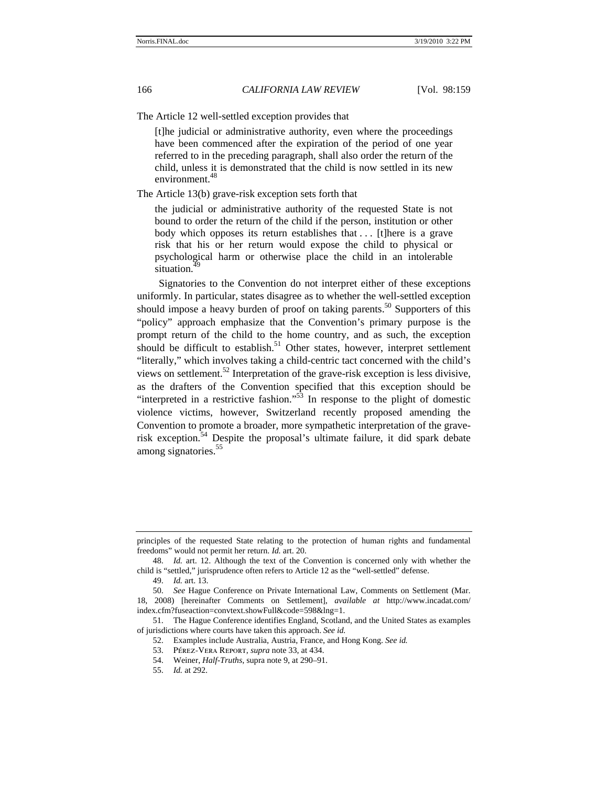The Article 12 well-settled exception provides that

[t]he judicial or administrative authority, even where the proceedings have been commenced after the expiration of the period of one year referred to in the preceding paragraph, shall also order the return of the child, unless it is demonstrated that the child is now settled in its new environment.<sup>48</sup>

The Article 13(b) grave-risk exception sets forth that

the judicial or administrative authority of the requested State is not bound to order the return of the child if the person, institution or other body which opposes its return establishes that ... [t]here is a grave risk that his or her return would expose the child to physical or psychological harm or otherwise place the child in an intolerable situation.<sup>4</sup>

Signatories to the Convention do not interpret either of these exceptions uniformly. In particular, states disagree as to whether the well-settled exception should impose a heavy burden of proof on taking parents.<sup>50</sup> Supporters of this "policy" approach emphasize that the Convention's primary purpose is the prompt return of the child to the home country, and as such, the exception should be difficult to establish.<sup>51</sup> Other states, however, interpret settlement "literally," which involves taking a child-centric tact concerned with the child's views on settlement.<sup>52</sup> Interpretation of the grave-risk exception is less divisive, as the drafters of the Convention specified that this exception should be "interpreted in a restrictive fashion."53 In response to the plight of domestic violence victims, however, Switzerland recently proposed amending the Convention to promote a broader, more sympathetic interpretation of the graverisk exception.<sup>54</sup> Despite the proposal's ultimate failure, it did spark debate among signatories.<sup>55</sup>

55. *Id.* at 292.

principles of the requested State relating to the protection of human rights and fundamental freedoms" would not permit her return. *Id.* art. 20.

<sup>48.</sup> *Id.* art. 12. Although the text of the Convention is concerned only with whether the child is "settled," jurisprudence often refers to Article 12 as the "well-settled" defense.

<sup>49.</sup> *Id.* art. 13.

<sup>50.</sup> *See* Hague Conference on Private International Law, Comments on Settlement (Mar. 18, 2008) [hereinafter Comments on Settlement], *available at* http://www.incadat.com/ index.cfm?fuseaction=convtext.showFull&code=598&lng=1.

<sup>51.</sup> The Hague Conference identifies England, Scotland, and the United States as examples of jurisdictions where courts have taken this approach. *See id.* 

<sup>52.</sup> Examples include Australia, Austria, France, and Hong Kong. *See id.*

<sup>53.</sup> Pérez-Vera Report, *supra* note 33, at 434.

<sup>54.</sup> Weiner, *Half-Truths*, supra note 9, at 290–91.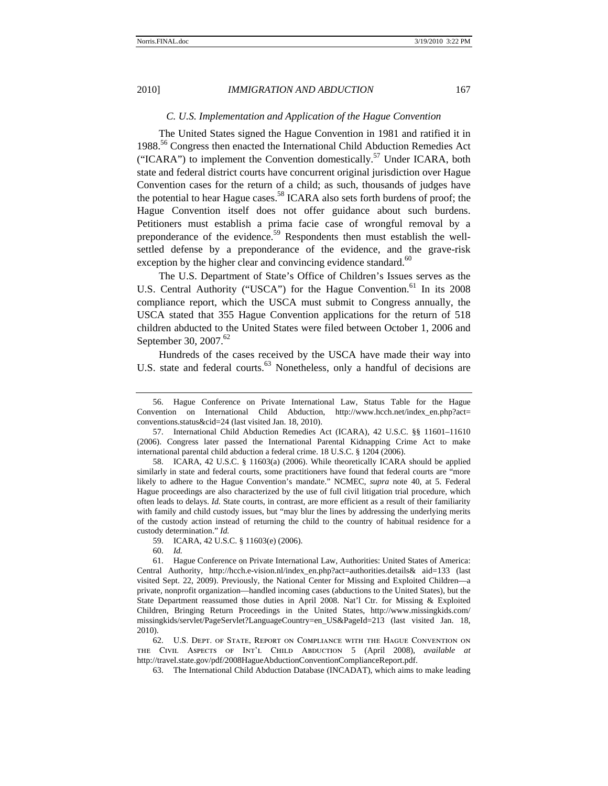#### *C. U.S. Implementation and Application of the Hague Convention*

The United States signed the Hague Convention in 1981 and ratified it in 1988<sup>56</sup> Congress then enacted the International Child Abduction Remedies Act ("ICARA") to implement the Convention domestically.<sup>57</sup> Under ICARA, both state and federal district courts have concurrent original jurisdiction over Hague Convention cases for the return of a child; as such, thousands of judges have the potential to hear Hague cases.<sup>58</sup> ICARA also sets forth burdens of proof; the Hague Convention itself does not offer guidance about such burdens. Petitioners must establish a prima facie case of wrongful removal by a preponderance of the evidence.<sup>59</sup> Respondents then must establish the wellsettled defense by a preponderance of the evidence, and the grave-risk exception by the higher clear and convincing evidence standard. $60$ 

The U.S. Department of State's Office of Children's Issues serves as the U.S. Central Authority ("USCA") for the Hague Convention.<sup>61</sup> In its 2008 compliance report, which the USCA must submit to Congress annually, the USCA stated that 355 Hague Convention applications for the return of 518 children abducted to the United States were filed between October 1, 2006 and September 30, 2007. $^{62}$ 

Hundreds of the cases received by the USCA have made their way into U.S. state and federal courts.<sup>63</sup> Nonetheless, only a handful of decisions are

62. U.S. Dept. of State, Report on Compliance with the Hague Convention on the Civil Aspects of Int'l Child Abduction 5 (April 2008), *available at*  http://travel.state.gov/pdf/2008HagueAbductionConventionComplianceReport.pdf.

63. The International Child Abduction Database (INCADAT), which aims to make leading

<sup>56.</sup> Hague Conference on Private International Law, Status Table for the Hague Convention on International Child Abduction, http://www.hcch.net/index\_en.php?act= conventions.status&cid=24 (last visited Jan. 18, 2010).

<sup>57.</sup> International Child Abduction Remedies Act (ICARA), 42 U.S.C. §§ 11601–11610 (2006). Congress later passed the International Parental Kidnapping Crime Act to make international parental child abduction a federal crime. 18 U.S.C. § 1204 (2006).

<sup>58.</sup> ICARA, 42 U.S.C. § 11603(a) (2006). While theoretically ICARA should be applied similarly in state and federal courts, some practitioners have found that federal courts are "more likely to adhere to the Hague Convention's mandate." NCMEC, *supra* note 40, at 5. Federal Hague proceedings are also characterized by the use of full civil litigation trial procedure, which often leads to delays. *Id.* State courts, in contrast, are more efficient as a result of their familiarity with family and child custody issues, but "may blur the lines by addressing the underlying merits of the custody action instead of returning the child to the country of habitual residence for a custody determination." *Id.*

<sup>59.</sup> ICARA, 42 U.S.C. § 11603(e) (2006).

<sup>60.</sup> *Id.*

<sup>61.</sup> Hague Conference on Private International Law, Authorities: United States of America: Central Authority, http://hcch.e-vision.nl/index\_en.php?act=authorities.details& aid=133 (last visited Sept. 22, 2009). Previously, the National Center for Missing and Exploited Children—a private, nonprofit organization—handled incoming cases (abductions to the United States), but the State Department reassumed those duties in April 2008. Nat'l Ctr. for Missing & Exploited Children, Bringing Return Proceedings in the United States, http://www.missingkids.com/ missingkids/servlet/PageServlet?LanguageCountry=en\_US&PageId=213 (last visited Jan. 18, 2010).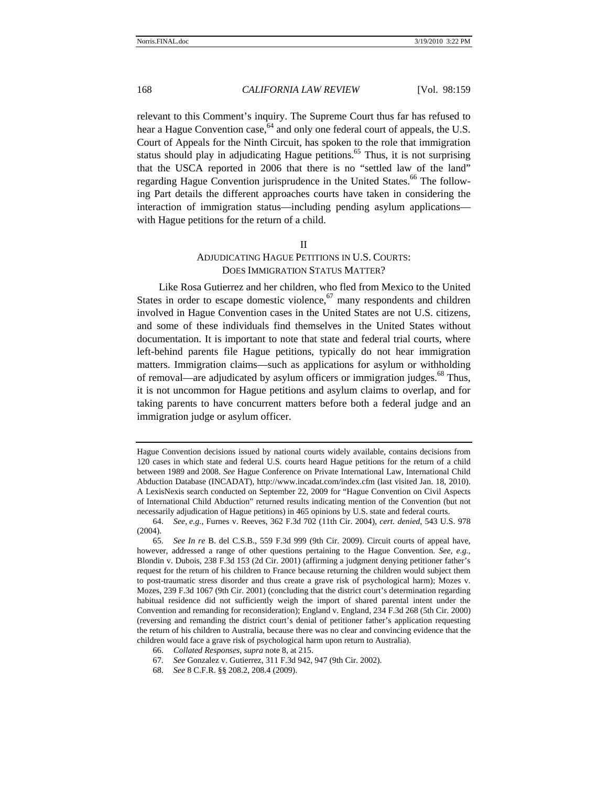relevant to this Comment's inquiry. The Supreme Court thus far has refused to hear a Hague Convention case,  $64$  and only one federal court of appeals, the U.S. Court of Appeals for the Ninth Circuit, has spoken to the role that immigration status should play in adjudicating Hague petitions.<sup>65</sup> Thus, it is not surprising that the USCA reported in 2006 that there is no "settled law of the land" regarding Hague Convention jurisprudence in the United States.<sup>66</sup> The following Part details the different approaches courts have taken in considering the interaction of immigration status—including pending asylum applications with Hague petitions for the return of a child.

## II

# ADJUDICATING HAGUE PETITIONS IN U.S. COURTS: DOES IMMIGRATION STATUS MATTER?

Like Rosa Gutierrez and her children, who fled from Mexico to the United States in order to escape domestic violence,  $67$  many respondents and children involved in Hague Convention cases in the United States are not U.S. citizens, and some of these individuals find themselves in the United States without documentation. It is important to note that state and federal trial courts, where left-behind parents file Hague petitions, typically do not hear immigration matters. Immigration claims—such as applications for asylum or withholding of removal—are adjudicated by asylum officers or immigration judges.<sup>68</sup> Thus, it is not uncommon for Hague petitions and asylum claims to overlap, and for taking parents to have concurrent matters before both a federal judge and an immigration judge or asylum officer.

Hague Convention decisions issued by national courts widely available, contains decisions from 120 cases in which state and federal U.S. courts heard Hague petitions for the return of a child between 1989 and 2008. *See* Hague Conference on Private International Law, International Child Abduction Database (INCADAT), http://www.incadat.com/index.cfm (last visited Jan. 18, 2010). A LexisNexis search conducted on September 22, 2009 for "Hague Convention on Civil Aspects of International Child Abduction" returned results indicating mention of the Convention (but not necessarily adjudication of Hague petitions) in 465 opinions by U.S. state and federal courts.

<sup>64.</sup> *See, e.g.*, Furnes v. Reeves, 362 F.3d 702 (11th Cir. 2004), *cert*. *denied*, 543 U.S. 978 (2004).

<sup>65.</sup> *See In re* B. del C.S.B., 559 F.3d 999 (9th Cir. 2009). Circuit courts of appeal have, however, addressed a range of other questions pertaining to the Hague Convention. *See, e.g.*, Blondin v. Dubois, 238 F.3d 153 (2d Cir. 2001) (affirming a judgment denying petitioner father's request for the return of his children to France because returning the children would subject them to post-traumatic stress disorder and thus create a grave risk of psychological harm); Mozes v. Mozes, 239 F.3d 1067 (9th Cir. 2001) (concluding that the district court's determination regarding habitual residence did not sufficiently weigh the import of shared parental intent under the Convention and remanding for reconsideration); England v. England, 234 F.3d 268 (5th Cir. 2000) (reversing and remanding the district court's denial of petitioner father's application requesting the return of his children to Australia, because there was no clear and convincing evidence that the children would face a grave risk of psychological harm upon return to Australia).

<sup>66.</sup> *Collated Responses*, *supra* note 8, at 215.

<sup>67.</sup> *See* Gonzalez v. Gutierrez, 311 F.3d 942, 947 (9th Cir. 2002).

<sup>68.</sup> *See* 8 C.F.R. §§ 208.2, 208.4 (2009).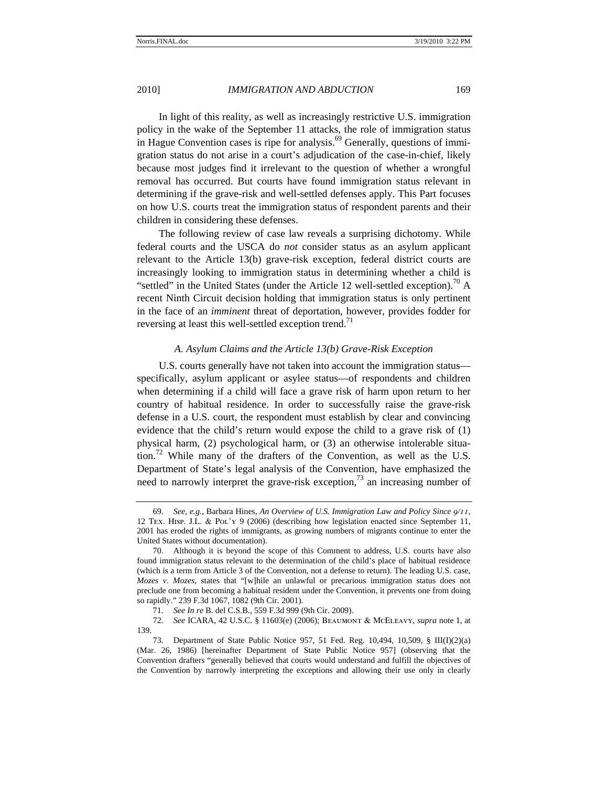In light of this reality, as well as increasingly restrictive U.S. immigration policy in the wake of the September 11 attacks, the role of immigration status in Hague Convention cases is ripe for analysis.<sup>69</sup> Generally, questions of immigration status do not arise in a court's adjudication of the case-in-chief, likely because most judges find it irrelevant to the question of whether a wrongful removal has occurred. But courts have found immigration status relevant in determining if the grave-risk and well-settled defenses apply. This Part focuses on how U.S. courts treat the immigration status of respondent parents and their children in considering these defenses.

The following review of case law reveals a surprising dichotomy. While federal courts and the USCA do *not* consider status as an asylum applicant relevant to the Article 13(b) grave-risk exception, federal district courts are increasingly looking to immigration status in determining whether a child is "settled" in the United States (under the Article 12 well-settled exception).<sup>70</sup> A recent Ninth Circuit decision holding that immigration status is only pertinent in the face of an *imminent* threat of deportation, however, provides fodder for reversing at least this well-settled exception trend.<sup>71</sup>

## *A. Asylum Claims and the Article 13(b) Grave-Risk Exception*

U.S. courts generally have not taken into account the immigration status specifically, asylum applicant or asylee status—of respondents and children when determining if a child will face a grave risk of harm upon return to her country of habitual residence. In order to successfully raise the grave-risk defense in a U.S. court, the respondent must establish by clear and convincing evidence that the child's return would expose the child to a grave risk of (1) physical harm, (2) psychological harm, or (3) an otherwise intolerable situation.<sup>72</sup> While many of the drafters of the Convention, as well as the U.S. Department of State's legal analysis of the Convention, have emphasized the need to narrowly interpret the grave-risk exception,<sup>73</sup> an increasing number of

<sup>69.</sup> *See, e.g.*, Barbara Hines, *An Overview of U.S. Immigration Law and Policy Since 9/11*, 12 Tex. Hisp. J.L. & Pol'y 9 (2006) (describing how legislation enacted since September 11, 2001 has eroded the rights of immigrants, as growing numbers of migrants continue to enter the United States without documentation).

<sup>70.</sup> Although it is beyond the scope of this Comment to address, U.S. courts have also found immigration status relevant to the determination of the child's place of habitual residence (which is a term from Article 3 of the Convention, not a defense to return). The leading U.S. case, *Mozes v*. *Mozes*, states that "[w]hile an unlawful or precarious immigration status does not preclude one from becoming a habitual resident under the Convention, it prevents one from doing so rapidly." 239 F.3d 1067, 1082 (9th Cir. 2001).

<sup>71.</sup> *See In re* B. del C.S.B., 559 F.3d 999 (9th Cir. 2009).

<sup>72.</sup> *See* ICARA, 42 U.S.C. § 11603(e) (2006); Beaumont & McEleavy, *supra* note 1, at 139.

<sup>73.</sup> Department of State Public Notice 957, 51 Fed. Reg. 10,494, 10,509, § III(I)(2)(a) (Mar. 26, 1986) [hereinafter Department of State Public Notice 957] (observing that the Convention drafters "generally believed that courts would understand and fulfill the objectives of the Convention by narrowly interpreting the exceptions and allowing their use only in clearly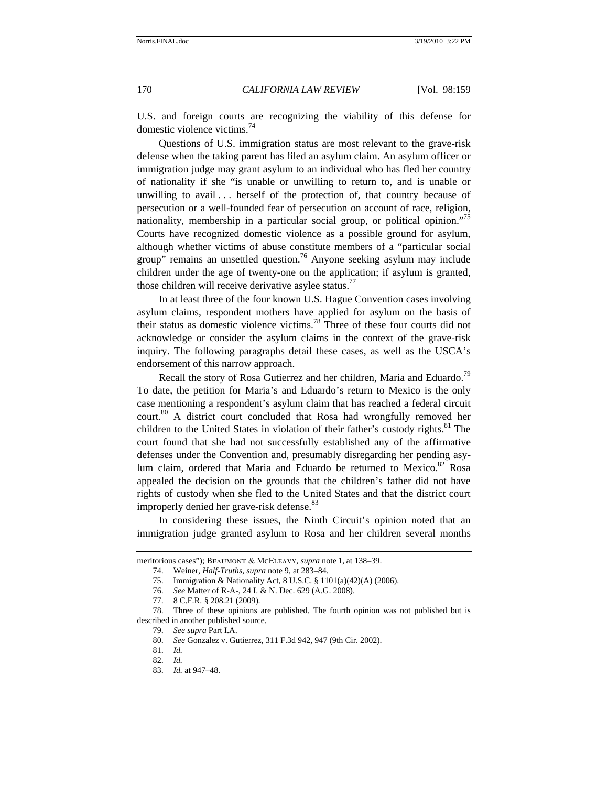U.S. and foreign courts are recognizing the viability of this defense for domestic violence victims.<sup>74</sup>

Questions of U.S. immigration status are most relevant to the grave-risk defense when the taking parent has filed an asylum claim. An asylum officer or immigration judge may grant asylum to an individual who has fled her country of nationality if she "is unable or unwilling to return to, and is unable or unwilling to avail  $\ldots$  herself of the protection of, that country because of persecution or a well-founded fear of persecution on account of race, religion, nationality, membership in a particular social group, or political opinion."<sup>75</sup> Courts have recognized domestic violence as a possible ground for asylum, although whether victims of abuse constitute members of a "particular social group" remains an unsettled question.<sup>76</sup> Anyone seeking asylum may include children under the age of twenty-one on the application; if asylum is granted, those children will receive derivative asylee status.<sup>77</sup>

In at least three of the four known U.S. Hague Convention cases involving asylum claims, respondent mothers have applied for asylum on the basis of their status as domestic violence victims.78 Three of these four courts did not acknowledge or consider the asylum claims in the context of the grave-risk inquiry. The following paragraphs detail these cases, as well as the USCA's endorsement of this narrow approach.

Recall the story of Rosa Gutierrez and her children, Maria and Eduardo.<sup>79</sup> To date, the petition for Maria's and Eduardo's return to Mexico is the only case mentioning a respondent's asylum claim that has reached a federal circuit court.<sup>80</sup> A district court concluded that Rosa had wrongfully removed her children to the United States in violation of their father's custody rights. $81$  The court found that she had not successfully established any of the affirmative defenses under the Convention and, presumably disregarding her pending asylum claim, ordered that Maria and Eduardo be returned to Mexico.<sup>82</sup> Rosa appealed the decision on the grounds that the children's father did not have rights of custody when she fled to the United States and that the district court improperly denied her grave-risk defense.<sup>83</sup>

In considering these issues, the Ninth Circuit's opinion noted that an immigration judge granted asylum to Rosa and her children several months

meritorious cases"); Beaumont & McEleavy, *supra* note 1, at 138–39.

<sup>74.</sup> Weiner, *Half-Truths*, *supra* note 9, at 283–84.

<sup>75.</sup> Immigration & Nationality Act, 8 U.S.C. § 1101(a)(42)(A) (2006).

<sup>76.</sup> *See* Matter of R-A-, 24 I. & N. Dec. 629 (A.G. 2008).

<sup>77. 8</sup> C.F.R. § 208.21 (2009).

<sup>78.</sup> Three of these opinions are published. The fourth opinion was not published but is described in another published source.

<sup>79.</sup> *See supra* Part I.A.

<sup>80.</sup> *See* Gonzalez v. Gutierrez, 311 F.3d 942, 947 (9th Cir. 2002).

<sup>81.</sup> *Id.* 

<sup>82.</sup> *Id.*

<sup>83.</sup> *Id.* at 947–48.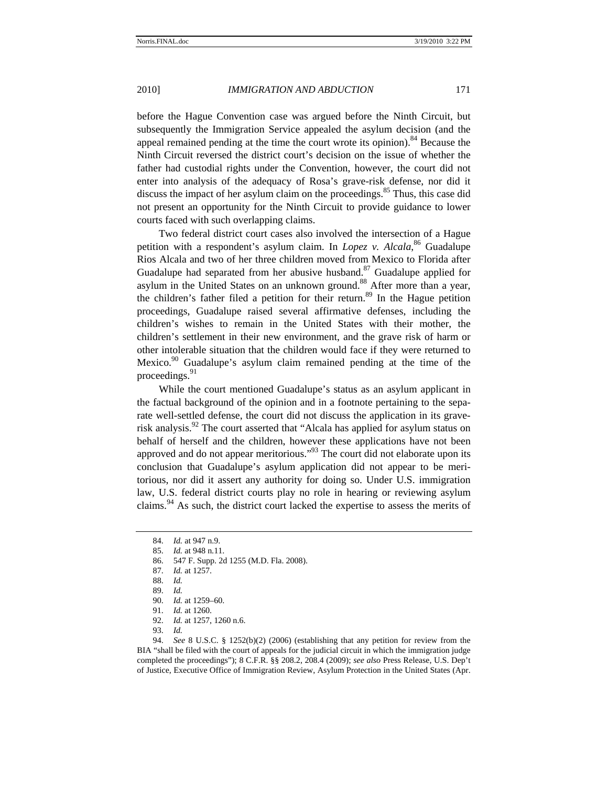before the Hague Convention case was argued before the Ninth Circuit, but subsequently the Immigration Service appealed the asylum decision (and the appeal remained pending at the time the court wrote its opinion).<sup>84</sup> Because the Ninth Circuit reversed the district court's decision on the issue of whether the father had custodial rights under the Convention, however, the court did not enter into analysis of the adequacy of Rosa's grave-risk defense, nor did it discuss the impact of her asylum claim on the proceedings. $85$  Thus, this case did not present an opportunity for the Ninth Circuit to provide guidance to lower courts faced with such overlapping claims.

Two federal district court cases also involved the intersection of a Hague petition with a respondent's asylum claim. In *Lopez v. Alcala*, <sup>86</sup> Guadalupe Rios Alcala and two of her three children moved from Mexico to Florida after Guadalupe had separated from her abusive husband. $87$  Guadalupe applied for asylum in the United States on an unknown ground.<sup>88</sup> After more than a year, the children's father filed a petition for their return.<sup>89</sup> In the Hague petition proceedings, Guadalupe raised several affirmative defenses, including the children's wishes to remain in the United States with their mother, the children's settlement in their new environment, and the grave risk of harm or other intolerable situation that the children would face if they were returned to Mexico. $90$  Guadalupe's asylum claim remained pending at the time of the proceedings.<sup>91</sup>

While the court mentioned Guadalupe's status as an asylum applicant in the factual background of the opinion and in a footnote pertaining to the separate well-settled defense, the court did not discuss the application in its graverisk analysis.<sup>92</sup> The court asserted that "Alcala has applied for asylum status on behalf of herself and the children, however these applications have not been approved and do not appear meritorious."93 The court did not elaborate upon its conclusion that Guadalupe's asylum application did not appear to be meritorious, nor did it assert any authority for doing so. Under U.S. immigration law, U.S. federal district courts play no role in hearing or reviewing asylum claims.<sup>94</sup> As such, the district court lacked the expertise to assess the merits of

92. *Id.* at 1257, 1260 n.6.

94. *See* 8 U.S.C. § 1252(b)(2) (2006) (establishing that any petition for review from the BIA "shall be filed with the court of appeals for the judicial circuit in which the immigration judge completed the proceedings"); 8 C.F.R. §§ 208.2, 208.4 (2009); *see also* Press Release, U.S. Dep't of Justice, Executive Office of Immigration Review, Asylum Protection in the United States (Apr.

<sup>84.</sup> *Id.* at 947 n.9.

<sup>85.</sup> *Id.* at 948 n.11.

<sup>86. 547</sup> F. Supp. 2d 1255 (M.D. Fla. 2008).

<sup>87.</sup> *Id.* at 1257.

<sup>88.</sup> *Id.*

<sup>89.</sup> *Id.* 

<sup>90.</sup> *Id.* at 1259–60.

<sup>91.</sup> *Id.* at 1260.

<sup>93.</sup> *Id.*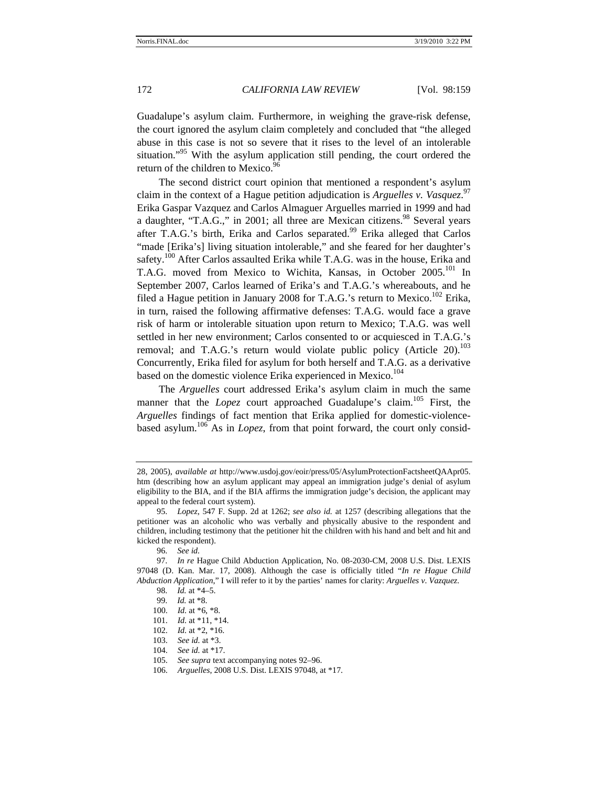Guadalupe's asylum claim. Furthermore, in weighing the grave-risk defense, the court ignored the asylum claim completely and concluded that "the alleged abuse in this case is not so severe that it rises to the level of an intolerable situation."<sup>95</sup> With the asylum application still pending, the court ordered the return of the children to Mexico.<sup>96</sup>

The second district court opinion that mentioned a respondent's asylum claim in the context of a Hague petition adjudication is *Arguelles v. Vasquez*. 97 Erika Gaspar Vazquez and Carlos Almaguer Arguelles married in 1999 and had a daughter, "T.A.G.," in 2001; all three are Mexican citizens.<sup>98</sup> Several years after T.A.G.'s birth, Erika and Carlos separated.<sup>99</sup> Erika alleged that Carlos "made [Erika's] living situation intolerable," and she feared for her daughter's safety.<sup>100</sup> After Carlos assaulted Erika while T.A.G. was in the house, Erika and T.A.G. moved from Mexico to Wichita, Kansas, in October 2005.<sup>101</sup> In September 2007, Carlos learned of Erika's and T.A.G.'s whereabouts, and he filed a Hague petition in January 2008 for T.A.G.'s return to Mexico.<sup>102</sup> Erika, in turn, raised the following affirmative defenses: T.A.G. would face a grave risk of harm or intolerable situation upon return to Mexico; T.A.G. was well settled in her new environment; Carlos consented to or acquiesced in T.A.G.'s removal; and T.A.G.'s return would violate public policy (Article 20).<sup>103</sup> Concurrently, Erika filed for asylum for both herself and T.A.G. as a derivative based on the domestic violence Erika experienced in Mexico.<sup>104</sup>

The *Arguelles* court addressed Erika's asylum claim in much the same manner that the *Lopez* court approached Guadalupe's claim.<sup>105</sup> First, the *Arguelles* findings of fact mention that Erika applied for domestic-violencebased asylum.106 As in *Lopez*, from that point forward, the court only consid-

<sup>28, 2005),</sup> *available at* http://www.usdoj.gov/eoir/press/05/AsylumProtectionFactsheetQAApr05. htm (describing how an asylum applicant may appeal an immigration judge's denial of asylum eligibility to the BIA, and if the BIA affirms the immigration judge's decision, the applicant may appeal to the federal court system).

<sup>95.</sup> *Lopez*, 547 F. Supp. 2d at 1262; *see also id.* at 1257 (describing allegations that the petitioner was an alcoholic who was verbally and physically abusive to the respondent and children, including testimony that the petitioner hit the children with his hand and belt and hit and kicked the respondent).

<sup>96.</sup> *See id.*

 <sup>97.</sup> *In re* Hague Child Abduction Application, No. 08-2030-CM, 2008 U.S. Dist. LEXIS 97048 (D. Kan. Mar. 17, 2008). Although the case is officially titled "*In re Hague Child Abduction Application*," I will refer to it by the parties' names for clarity: *Arguelles v*. *Vazquez*.

 <sup>98.</sup> *Id.* at \*4–5.

 <sup>99.</sup> *Id.* at \*8.

<sup>100.</sup> *Id.* at \*6, \*8.

<sup>101.</sup> *Id.* at \*11, \*14.

<sup>102.</sup> *Id.* at \*2, \*16.

<sup>103.</sup> *See id.* at \*3.

<sup>104.</sup> *See id.* at \*17.

<sup>105.</sup> *See supra* text accompanying notes 92–96.

<sup>106.</sup> *Arguelles*, 2008 U.S. Dist. LEXIS 97048, at \*17.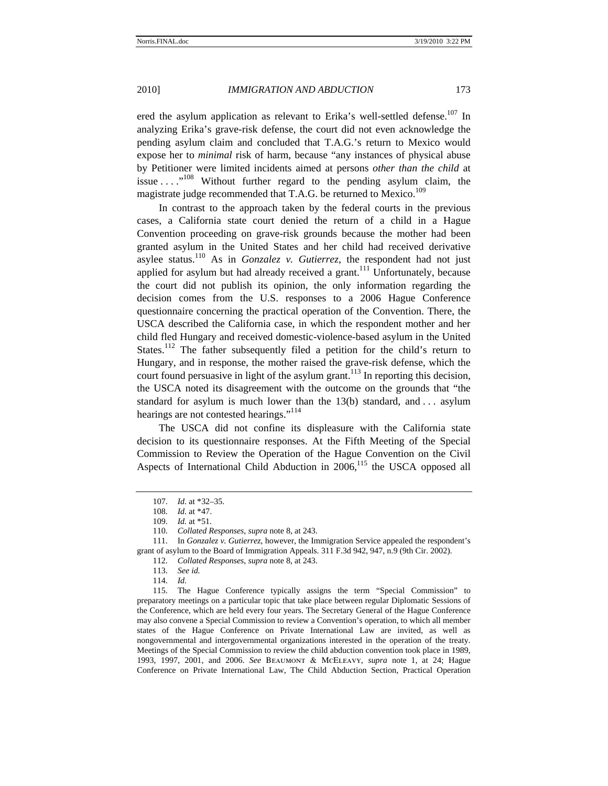ered the asylum application as relevant to Erika's well-settled defense.<sup>107</sup> In analyzing Erika's grave-risk defense, the court did not even acknowledge the pending asylum claim and concluded that T.A.G.'s return to Mexico would expose her to *minimal* risk of harm, because "any instances of physical abuse by Petitioner were limited incidents aimed at persons *other than the child* at issue  $\dots$ <sup>108</sup> Without further regard to the pending asylum claim, the magistrate judge recommended that T.A.G. be returned to Mexico.<sup>109</sup>

In contrast to the approach taken by the federal courts in the previous cases, a California state court denied the return of a child in a Hague Convention proceeding on grave-risk grounds because the mother had been granted asylum in the United States and her child had received derivative asylee status.<sup>110</sup> As in *Gonzalez v. Gutierrez*, the respondent had not just applied for asylum but had already received a grant.<sup>111</sup> Unfortunately, because the court did not publish its opinion, the only information regarding the decision comes from the U.S. responses to a 2006 Hague Conference questionnaire concerning the practical operation of the Convention. There, the USCA described the California case, in which the respondent mother and her child fled Hungary and received domestic-violence-based asylum in the United States.<sup>112</sup> The father subsequently filed a petition for the child's return to Hungary, and in response, the mother raised the grave-risk defense, which the court found persuasive in light of the asylum grant.<sup>113</sup> In reporting this decision, the USCA noted its disagreement with the outcome on the grounds that "the standard for asylum is much lower than the  $13(b)$  standard, and ... asylum hearings are not contested hearings."<sup>114</sup>

The USCA did not confine its displeasure with the California state decision to its questionnaire responses. At the Fifth Meeting of the Special Commission to Review the Operation of the Hague Convention on the Civil Aspects of International Child Abduction in  $2006$ ,<sup>115</sup> the USCA opposed all

114. *Id.*

115. The Hague Conference typically assigns the term "Special Commission" to preparatory meetings on a particular topic that take place between regular Diplomatic Sessions of the Conference, which are held every four years. The Secretary General of the Hague Conference may also convene a Special Commission to review a Convention's operation, to which all member states of the Hague Conference on Private International Law are invited, as well as nongovernmental and intergovernmental organizations interested in the operation of the treaty. Meetings of the Special Commission to review the child abduction convention took place in 1989, 1993, 1997, 2001, and 2006. *See* Beaumont & McEleavy, *supra* note 1, at 24; Hague Conference on Private International Law, The Child Abduction Section, Practical Operation

<sup>107.</sup> *Id.* at \*32–35.

<sup>108.</sup> *Id.* at \*47.

<sup>109.</sup> *Id.* at \*51.

<sup>110.</sup> *Collated Responses*, *supra* note 8, at 243.

<sup>111.</sup> In *Gonzalez v. Gutierrez*, however, the Immigration Service appealed the respondent's grant of asylum to the Board of Immigration Appeals. 311 F.3d 942, 947, n.9 (9th Cir. 2002).

<sup>112.</sup> *Collated Responses*, *supra* note 8, at 243.

<sup>113.</sup> *See id.*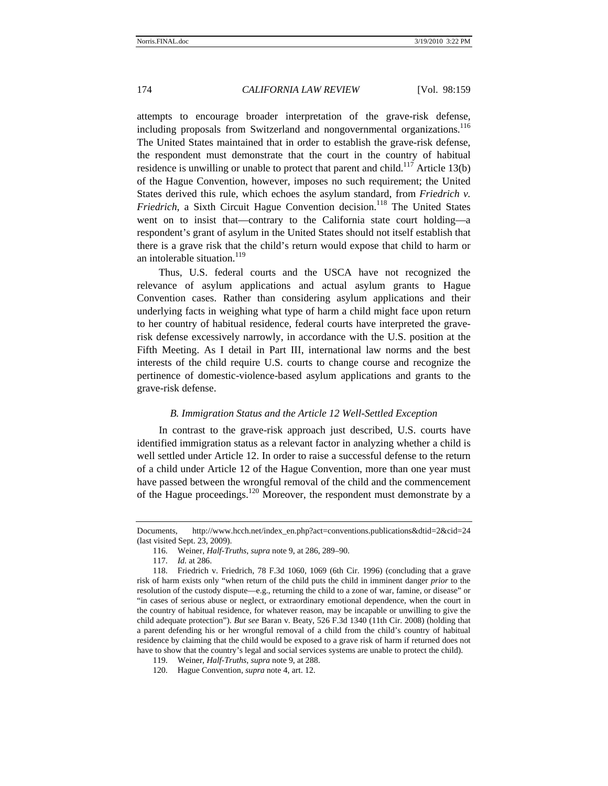attempts to encourage broader interpretation of the grave-risk defense, including proposals from Switzerland and nongovernmental organizations.<sup>116</sup> The United States maintained that in order to establish the grave-risk defense, the respondent must demonstrate that the court in the country of habitual residence is unwilling or unable to protect that parent and child.<sup>117</sup> Article 13(b) of the Hague Convention, however, imposes no such requirement; the United States derived this rule, which echoes the asylum standard, from *Friedrich v. Friedrich*, a Sixth Circuit Hague Convention decision.<sup>118</sup> The United States went on to insist that—contrary to the California state court holding—a respondent's grant of asylum in the United States should not itself establish that there is a grave risk that the child's return would expose that child to harm or an intolerable situation.<sup>119</sup>

Thus, U.S. federal courts and the USCA have not recognized the relevance of asylum applications and actual asylum grants to Hague Convention cases. Rather than considering asylum applications and their underlying facts in weighing what type of harm a child might face upon return to her country of habitual residence, federal courts have interpreted the graverisk defense excessively narrowly, in accordance with the U.S. position at the Fifth Meeting. As I detail in Part III, international law norms and the best interests of the child require U.S. courts to change course and recognize the pertinence of domestic-violence-based asylum applications and grants to the grave-risk defense.

#### *B. Immigration Status and the Article 12 Well-Settled Exception*

In contrast to the grave-risk approach just described, U.S. courts have identified immigration status as a relevant factor in analyzing whether a child is well settled under Article 12. In order to raise a successful defense to the return of a child under Article 12 of the Hague Convention, more than one year must have passed between the wrongful removal of the child and the commencement of the Hague proceedings.<sup>120</sup> Moreover, the respondent must demonstrate by a

- 119. Weiner, *Half-Truths*, *supra* note 9, at 288.
- 120. Hague Convention, *supra* note 4, art. 12.

Documents, http://www.hcch.net/index\_en.php?act=conventions.publications&dtid=2&cid=24 (last visited Sept. 23, 2009).

<sup>116.</sup> Weiner, *Half-Truths*, *supra* note 9, at 286, 289–90.

<sup>117.</sup> *Id.* at 286.

<sup>118.</sup> Friedrich v. Friedrich, 78 F.3d 1060, 1069 (6th Cir. 1996) (concluding that a grave risk of harm exists only "when return of the child puts the child in imminent danger *prior* to the resolution of the custody dispute—e.g., returning the child to a zone of war, famine, or disease" or "in cases of serious abuse or neglect, or extraordinary emotional dependence, when the court in the country of habitual residence, for whatever reason, may be incapable or unwilling to give the child adequate protection"). *But see* Baran v. Beaty, 526 F.3d 1340 (11th Cir. 2008) (holding that a parent defending his or her wrongful removal of a child from the child's country of habitual residence by claiming that the child would be exposed to a grave risk of harm if returned does not have to show that the country's legal and social services systems are unable to protect the child).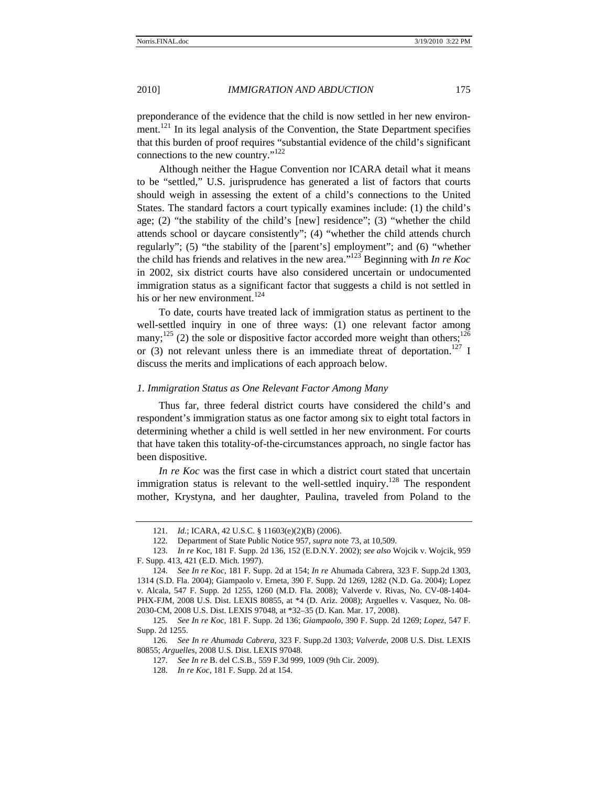preponderance of the evidence that the child is now settled in her new environment.<sup>121</sup> In its legal analysis of the Convention, the State Department specifies that this burden of proof requires "substantial evidence of the child's significant connections to the new country."<sup>122</sup>

Although neither the Hague Convention nor ICARA detail what it means to be "settled," U.S. jurisprudence has generated a list of factors that courts should weigh in assessing the extent of a child's connections to the United States. The standard factors a court typically examines include: (1) the child's age; (2) "the stability of the child's [new] residence"; (3) "whether the child attends school or daycare consistently"; (4) "whether the child attends church regularly"; (5) "the stability of the [parent's] employment"; and (6) "whether the child has friends and relatives in the new area."123 Beginning with *In re Koc*  in 2002, six district courts have also considered uncertain or undocumented immigration status as a significant factor that suggests a child is not settled in his or her new environment.<sup>124</sup>

To date, courts have treated lack of immigration status as pertinent to the well-settled inquiry in one of three ways: (1) one relevant factor among many;<sup>125</sup> (2) the sole or dispositive factor accorded more weight than others;<sup>126</sup> or (3) not relevant unless there is an immediate threat of deportation.<sup>127</sup> I discuss the merits and implications of each approach below.

### *1. Immigration Status as One Relevant Factor Among Many*

Thus far, three federal district courts have considered the child's and respondent's immigration status as one factor among six to eight total factors in determining whether a child is well settled in her new environment. For courts that have taken this totality-of-the-circumstances approach, no single factor has been dispositive.

*In re Koc* was the first case in which a district court stated that uncertain immigration status is relevant to the well-settled inquiry.<sup>128</sup> The respondent mother, Krystyna, and her daughter, Paulina, traveled from Poland to the

<sup>121.</sup> *Id.*; ICARA, 42 U.S.C. § 11603(e)(2)(B) (2006).

<sup>122.</sup> Department of State Public Notice 957, *supra* note 73, at 10,509.

<sup>123.</sup> *In re* Koc, 181 F. Supp. 2d 136, 152 (E.D.N.Y. 2002); *see also* Wojcik v. Wojcik, 959 F. Supp. 413, 421 (E.D. Mich. 1997).

<sup>124.</sup> *See In re Koc*, 181 F. Supp. 2d at 154; *In re* Ahumada Cabrera, 323 F. Supp.2d 1303, 1314 (S.D. Fla. 2004); Giampaolo v. Erneta, 390 F. Supp. 2d 1269, 1282 (N.D. Ga. 2004); Lopez v. Alcala, 547 F. Supp. 2d 1255, 1260 (M.D. Fla. 2008); Valverde v. Rivas, No. CV-08-1404- PHX-FJM, 2008 U.S. Dist. LEXIS 80855, at \*4 (D. Ariz. 2008); Arguelles v. Vasquez, No. 08- 2030-CM, 2008 U.S. Dist. LEXIS 97048, at \*32–35 (D. Kan. Mar. 17, 2008).

<sup>125.</sup> *See In re Koc*, 181 F. Supp. 2d 136; *Giampaolo*, 390 F. Supp. 2d 1269; *Lopez*, 547 F. Supp. 2d 1255.

<sup>126.</sup> *See In re Ahumada Cabrera*, 323 F. Supp.2d 1303; *Valverde*, 2008 U.S. Dist. LEXIS 80855; *Arguelles*, 2008 U.S. Dist. LEXIS 97048.

<sup>127.</sup> *See In re* B. del C.S.B., 559 F.3d 999, 1009 (9th Cir. 2009).

<sup>128.</sup> *In re Koc*, 181 F. Supp. 2d at 154.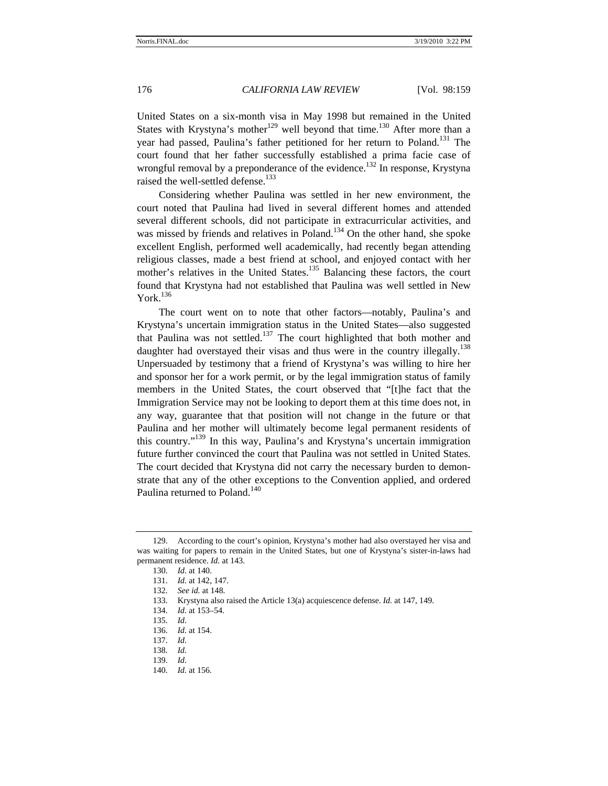United States on a six-month visa in May 1998 but remained in the United States with Krystyna's mother<sup>129</sup> well beyond that time.<sup>130</sup> After more than a year had passed, Paulina's father petitioned for her return to Poland.<sup>131</sup> The court found that her father successfully established a prima facie case of wrongful removal by a preponderance of the evidence.<sup>132</sup> In response, Krystyna raised the well-settled defense.<sup>133</sup>

Considering whether Paulina was settled in her new environment, the court noted that Paulina had lived in several different homes and attended several different schools, did not participate in extracurricular activities, and was missed by friends and relatives in Poland.<sup>134</sup> On the other hand, she spoke excellent English, performed well academically, had recently began attending religious classes, made a best friend at school, and enjoyed contact with her mother's relatives in the United States.<sup>135</sup> Balancing these factors, the court found that Krystyna had not established that Paulina was well settled in New York. $136$ 

The court went on to note that other factors—notably, Paulina's and Krystyna's uncertain immigration status in the United States—also suggested that Paulina was not settled.<sup>137</sup> The court highlighted that both mother and daughter had overstayed their visas and thus were in the country illegally.<sup>138</sup> Unpersuaded by testimony that a friend of Krystyna's was willing to hire her and sponsor her for a work permit, or by the legal immigration status of family members in the United States, the court observed that "[t]he fact that the Immigration Service may not be looking to deport them at this time does not, in any way, guarantee that that position will not change in the future or that Paulina and her mother will ultimately become legal permanent residents of this country."<sup>139</sup> In this way, Paulina's and Krystyna's uncertain immigration future further convinced the court that Paulina was not settled in United States. The court decided that Krystyna did not carry the necessary burden to demonstrate that any of the other exceptions to the Convention applied, and ordered Paulina returned to Poland.<sup>140</sup>

- 134. *Id.* at 153–54.
- 135. *Id.*
- 136. *Id.* at 154.
- 137. *Id.* 138. *Id.*
- 139. *Id.*
- 140. *Id.* at 156.

<sup>129.</sup> According to the court's opinion, Krystyna's mother had also overstayed her visa and was waiting for papers to remain in the United States, but one of Krystyna's sister-in-laws had permanent residence. *Id.* at 143.

<sup>130.</sup> *Id.* at 140.

<sup>131.</sup> *Id.* at 142, 147.

<sup>132.</sup> *See id.* at 148.

<sup>133.</sup> Krystyna also raised the Article 13(a) acquiescence defense. *Id.* at 147, 149.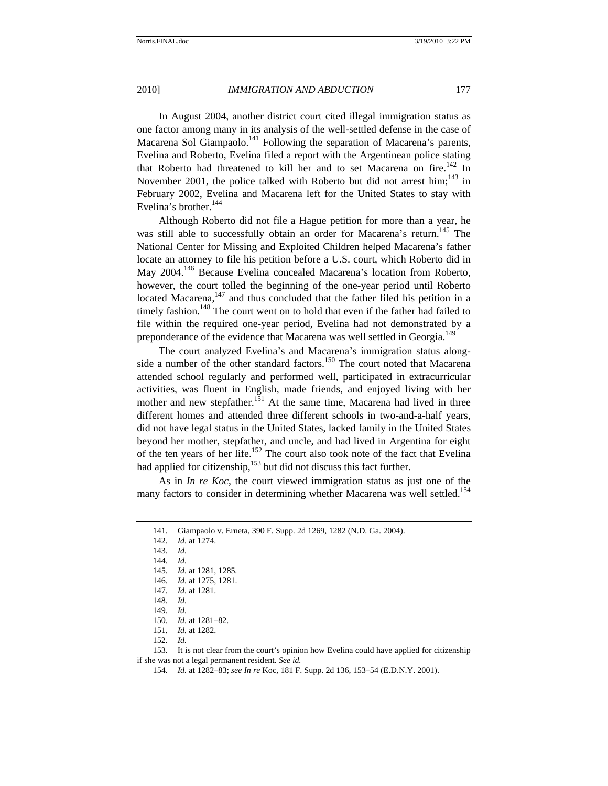In August 2004, another district court cited illegal immigration status as one factor among many in its analysis of the well-settled defense in the case of Macarena Sol Giampaolo.<sup>141</sup> Following the separation of Macarena's parents, Evelina and Roberto, Evelina filed a report with the Argentinean police stating that Roberto had threatened to kill her and to set Macarena on fire.<sup>142</sup> In November 2001, the police talked with Roberto but did not arrest him;<sup>143</sup> in February 2002, Evelina and Macarena left for the United States to stay with Evelina's brother. $144$ 

Although Roberto did not file a Hague petition for more than a year, he was still able to successfully obtain an order for Macarena's return.<sup>145</sup> The National Center for Missing and Exploited Children helped Macarena's father locate an attorney to file his petition before a U.S. court, which Roberto did in May 2004.<sup>146</sup> Because Evelina concealed Macarena's location from Roberto, however, the court tolled the beginning of the one-year period until Roberto located Macarena, $147$  and thus concluded that the father filed his petition in a timely fashion.<sup>148</sup> The court went on to hold that even if the father had failed to file within the required one-year period, Evelina had not demonstrated by a preponderance of the evidence that Macarena was well settled in Georgia.<sup>149</sup>

The court analyzed Evelina's and Macarena's immigration status alongside a number of the other standard factors.<sup>150</sup> The court noted that Macarena attended school regularly and performed well, participated in extracurricular activities, was fluent in English, made friends, and enjoyed living with her mother and new stepfather.<sup>151</sup> At the same time, Macarena had lived in three different homes and attended three different schools in two-and-a-half years, did not have legal status in the United States, lacked family in the United States beyond her mother, stepfather, and uncle, and had lived in Argentina for eight of the ten years of her life.<sup>152</sup> The court also took note of the fact that Evelina had applied for citizenship, $153$  but did not discuss this fact further.

As in *In re Koc*, the court viewed immigration status as just one of the many factors to consider in determining whether Macarena was well settled.<sup>154</sup>

148. *Id.*

- 150. *Id.* at 1281–82.
- 151. *Id.* at 1282.

153. It is not clear from the court's opinion how Evelina could have applied for citizenship if she was not a legal permanent resident. *See id.* 

154. *Id.* at 1282–83; *see In re* Koc, 181 F. Supp. 2d 136, 153–54 (E.D.N.Y. 2001).

<sup>141.</sup> Giampaolo v. Erneta, 390 F. Supp. 2d 1269, 1282 (N.D. Ga. 2004).

<sup>142.</sup> *Id.* at 1274.

<sup>143.</sup> *Id.*

<sup>144.</sup> *Id.*

<sup>145.</sup> *Id.* at 1281, 1285.

<sup>146.</sup> *Id.* at 1275, 1281.

<sup>147.</sup> *Id.* at 1281.

<sup>149.</sup> *Id.*

<sup>152.</sup> *Id.*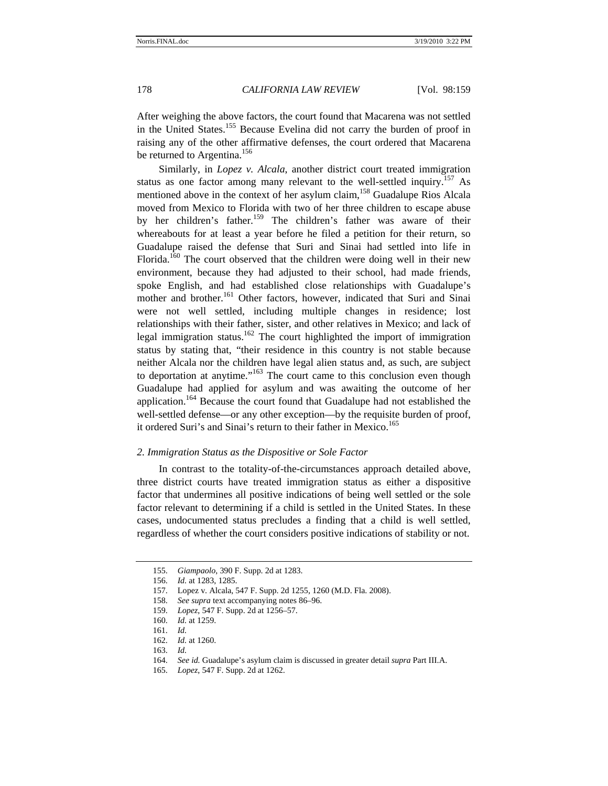After weighing the above factors, the court found that Macarena was not settled in the United States.155 Because Evelina did not carry the burden of proof in raising any of the other affirmative defenses, the court ordered that Macarena be returned to Argentina.<sup>156</sup>

Similarly, in *Lopez v. Alcala*, another district court treated immigration status as one factor among many relevant to the well-settled inquiry.<sup>157</sup> As mentioned above in the context of her asylum claim,<sup>158</sup> Guadalupe Rios Alcala moved from Mexico to Florida with two of her three children to escape abuse by her children's father.<sup>159</sup> The children's father was aware of their whereabouts for at least a year before he filed a petition for their return, so Guadalupe raised the defense that Suri and Sinai had settled into life in Florida.<sup>160</sup> The court observed that the children were doing well in their new environment, because they had adjusted to their school, had made friends, spoke English, and had established close relationships with Guadalupe's mother and brother.<sup>161</sup> Other factors, however, indicated that Suri and Sinai were not well settled, including multiple changes in residence; lost relationships with their father, sister, and other relatives in Mexico; and lack of legal immigration status.<sup>162</sup> The court highlighted the import of immigration status by stating that, "their residence in this country is not stable because neither Alcala nor the children have legal alien status and, as such, are subject to deportation at anytime."163 The court came to this conclusion even though Guadalupe had applied for asylum and was awaiting the outcome of her application.164 Because the court found that Guadalupe had not established the well-settled defense—or any other exception—by the requisite burden of proof, it ordered Suri's and Sinai's return to their father in Mexico.<sup>165</sup>

# *2. Immigration Status as the Dispositive or Sole Factor*

In contrast to the totality-of-the-circumstances approach detailed above, three district courts have treated immigration status as either a dispositive factor that undermines all positive indications of being well settled or the sole factor relevant to determining if a child is settled in the United States. In these cases, undocumented status precludes a finding that a child is well settled, regardless of whether the court considers positive indications of stability or not.

- 159. *Lopez*, 547 F. Supp. 2d at 1256–57.
- 160. *Id.* at 1259.

- 162. *Id.* at 1260.
- 163. *Id.*
- 164. *See id.* Guadalupe's asylum claim is discussed in greater detail *supra* Part III.A.
- 165. *Lopez*, 547 F. Supp. 2d at 1262.

<sup>155.</sup> *Giampaolo*, 390 F. Supp. 2d at 1283.

<sup>156.</sup> *Id.* at 1283, 1285.

<sup>157.</sup> Lopez v. Alcala, 547 F. Supp. 2d 1255, 1260 (M.D. Fla. 2008).

<sup>158.</sup> *See supra* text accompanying notes 86–96.

<sup>161.</sup> *Id.*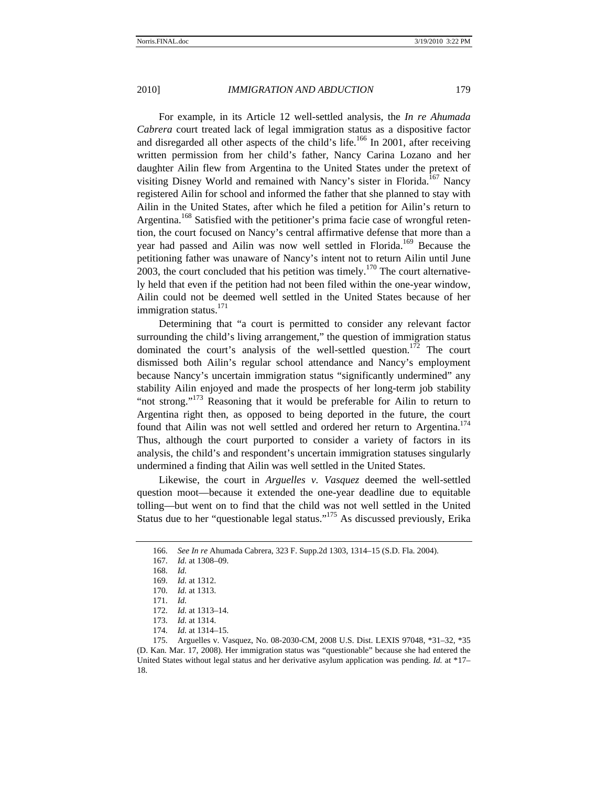For example, in its Article 12 well-settled analysis, the *In re Ahumada Cabrera* court treated lack of legal immigration status as a dispositive factor and disregarded all other aspects of the child's life.<sup>166</sup> In 2001, after receiving written permission from her child's father, Nancy Carina Lozano and her daughter Ailin flew from Argentina to the United States under the pretext of visiting Disney World and remained with Nancy's sister in Florida.<sup>167</sup> Nancy registered Ailin for school and informed the father that she planned to stay with Ailin in the United States, after which he filed a petition for Ailin's return to Argentina.<sup>168</sup> Satisfied with the petitioner's prima facie case of wrongful retention, the court focused on Nancy's central affirmative defense that more than a year had passed and Ailin was now well settled in Florida.<sup>169</sup> Because the petitioning father was unaware of Nancy's intent not to return Ailin until June 2003, the court concluded that his petition was timely.<sup>170</sup> The court alternatively held that even if the petition had not been filed within the one-year window, Ailin could not be deemed well settled in the United States because of her immigration status. $^{171}$ 

Determining that "a court is permitted to consider any relevant factor surrounding the child's living arrangement," the question of immigration status dominated the court's analysis of the well-settled question.<sup>172</sup> The court dismissed both Ailin's regular school attendance and Nancy's employment because Nancy's uncertain immigration status "significantly undermined" any stability Ailin enjoyed and made the prospects of her long-term job stability "not strong."<sup>173</sup> Reasoning that it would be preferable for Ailin to return to Argentina right then, as opposed to being deported in the future, the court found that Ailin was not well settled and ordered her return to Argentina.<sup>174</sup> Thus, although the court purported to consider a variety of factors in its analysis, the child's and respondent's uncertain immigration statuses singularly undermined a finding that Ailin was well settled in the United States.

Likewise, the court in *Arguelles v. Vasquez* deemed the well-settled question moot—because it extended the one-year deadline due to equitable tolling—but went on to find that the child was not well settled in the United Status due to her "questionable legal status."175 As discussed previously, Erika

174. *Id.* at 1314–15.

175. Arguelles v. Vasquez, No. 08-2030-CM, 2008 U.S. Dist. LEXIS 97048, \*31–32, \*35 (D. Kan. Mar. 17, 2008). Her immigration status was "questionable" because she had entered the United States without legal status and her derivative asylum application was pending. *Id.* at \*17– 18.

<sup>166.</sup> *See In re* Ahumada Cabrera, 323 F. Supp.2d 1303, 1314–15 (S.D. Fla. 2004).

<sup>167.</sup> *Id.* at 1308–09.

<sup>168.</sup> *Id.* 

<sup>169.</sup> *Id.* at 1312.

<sup>170.</sup> *Id.* at 1313.

<sup>171.</sup> *Id.*

<sup>172.</sup> *Id.* at 1313–14.

<sup>173.</sup> *Id.* at 1314.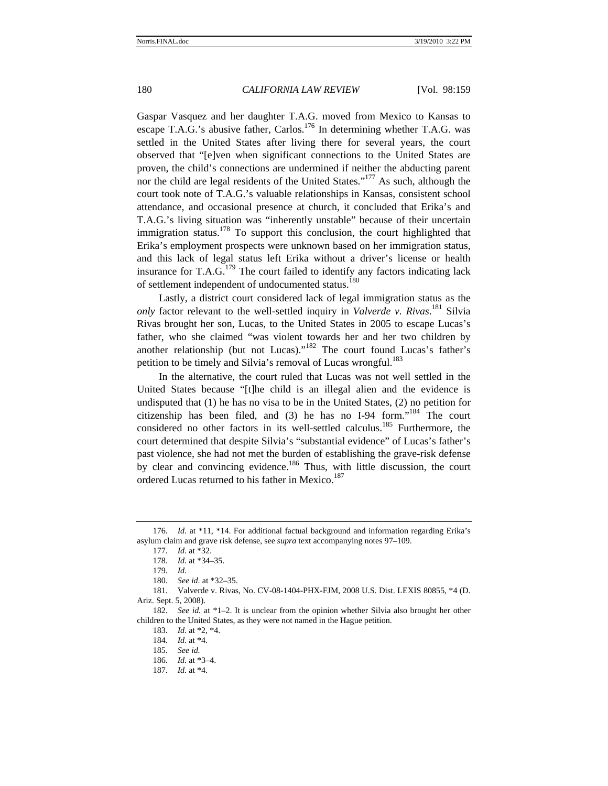Gaspar Vasquez and her daughter T.A.G. moved from Mexico to Kansas to escape T.A.G.'s abusive father, Carlos.<sup>176</sup> In determining whether T.A.G. was settled in the United States after living there for several years, the court observed that "[e]ven when significant connections to the United States are proven, the child's connections are undermined if neither the abducting parent nor the child are legal residents of the United States."<sup>177</sup> As such, although the court took note of T.A.G.'s valuable relationships in Kansas, consistent school attendance, and occasional presence at church, it concluded that Erika's and T.A.G.'s living situation was "inherently unstable" because of their uncertain immigration status.<sup>178</sup> To support this conclusion, the court highlighted that Erika's employment prospects were unknown based on her immigration status, and this lack of legal status left Erika without a driver's license or health insurance for  $T.A.G.<sup>179</sup>$  The court failed to identify any factors indicating lack of settlement independent of undocumented status.<sup>180</sup>

Lastly, a district court considered lack of legal immigration status as the *only* factor relevant to the well-settled inquiry in *Valverde v. Rivas*. 181 Silvia Rivas brought her son, Lucas, to the United States in 2005 to escape Lucas's father, who she claimed "was violent towards her and her two children by another relationship (but not Lucas)."182 The court found Lucas's father's petition to be timely and Silvia's removal of Lucas wrongful.<sup>183</sup>

In the alternative, the court ruled that Lucas was not well settled in the United States because "[t]he child is an illegal alien and the evidence is undisputed that (1) he has no visa to be in the United States, (2) no petition for citizenship has been filed, and (3) he has no I-94 form.<sup> $184$ </sup> The court considered no other factors in its well-settled calculus.<sup>185</sup> Furthermore, the court determined that despite Silvia's "substantial evidence" of Lucas's father's past violence, she had not met the burden of establishing the grave-risk defense by clear and convincing evidence.<sup>186</sup> Thus, with little discussion, the court ordered Lucas returned to his father in Mexico.<sup>187</sup>

181. Valverde v. Rivas, No. CV-08-1404-PHX-FJM, 2008 U.S. Dist. LEXIS 80855, \*4 (D. Ariz. Sept. 5, 2008).

182. *See id.* at \*1–2. It is unclear from the opinion whether Silvia also brought her other children to the United States, as they were not named in the Hague petition.

183. *Id.* at \*2, \*4.

184. *Id.* at \*4.

185. *See id.*

186. *Id.* at \*3–4.

187. *Id.* at \*4.

<sup>176.</sup> *Id.* at \*11, \*14. For additional factual background and information regarding Erika's asylum claim and grave risk defense, see *supra* text accompanying notes 97–109.

<sup>177.</sup> *Id.* at \*32.

<sup>178.</sup> *Id.* at \*34–35.

<sup>179.</sup> *Id.* 

<sup>180.</sup> *See id.* at \*32–35.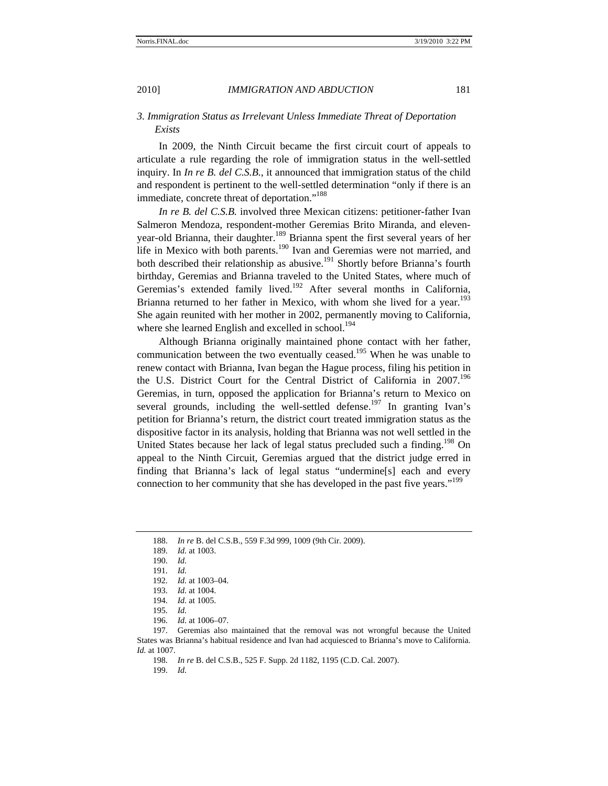# *3. Immigration Status as Irrelevant Unless Immediate Threat of Deportation Exists*

In 2009, the Ninth Circuit became the first circuit court of appeals to articulate a rule regarding the role of immigration status in the well-settled inquiry. In *In re B. del C.S.B.*, it announced that immigration status of the child and respondent is pertinent to the well-settled determination "only if there is an immediate, concrete threat of deportation."<sup>188</sup>

*In re B. del C.S.B.* involved three Mexican citizens: petitioner-father Ivan Salmeron Mendoza, respondent-mother Geremias Brito Miranda, and elevenyear-old Brianna, their daughter.<sup>189</sup> Brianna spent the first several years of her life in Mexico with both parents.<sup>190</sup> Ivan and Geremias were not married, and both described their relationship as abusive.<sup>191</sup> Shortly before Brianna's fourth birthday, Geremias and Brianna traveled to the United States, where much of Geremias's extended family lived.<sup>192</sup> After several months in California, Brianna returned to her father in Mexico, with whom she lived for a year.<sup>193</sup> She again reunited with her mother in 2002, permanently moving to California, where she learned English and excelled in school.<sup>194</sup>

Although Brianna originally maintained phone contact with her father, communication between the two eventually ceased.<sup>195</sup> When he was unable to renew contact with Brianna, Ivan began the Hague process, filing his petition in the U.S. District Court for the Central District of California in 2007.<sup>196</sup> Geremias, in turn, opposed the application for Brianna's return to Mexico on several grounds, including the well-settled defense.<sup>197</sup> In granting Ivan's petition for Brianna's return, the district court treated immigration status as the dispositive factor in its analysis, holding that Brianna was not well settled in the United States because her lack of legal status precluded such a finding.<sup>198</sup> On appeal to the Ninth Circuit, Geremias argued that the district judge erred in finding that Brianna's lack of legal status "undermine[s] each and every connection to her community that she has developed in the past five years."<sup>199</sup>

- 195. *Id.*
- 196. *Id.* at 1006–07.

197. Geremias also maintained that the removal was not wrongful because the United States was Brianna's habitual residence and Ivan had acquiesced to Brianna's move to California. *Id.* at 1007.

198. *In re* B. del C.S.B., 525 F. Supp. 2d 1182, 1195 (C.D. Cal. 2007).

199. *Id.*

<sup>188.</sup> *In re* B. del C.S.B., 559 F.3d 999, 1009 (9th Cir. 2009).

<sup>189.</sup> *Id.* at 1003.

<sup>190.</sup> *Id.*

<sup>191.</sup> *Id.*

<sup>192.</sup> *Id.* at 1003–04.

<sup>193.</sup> *Id.* at 1004.

<sup>194.</sup> *Id.* at 1005.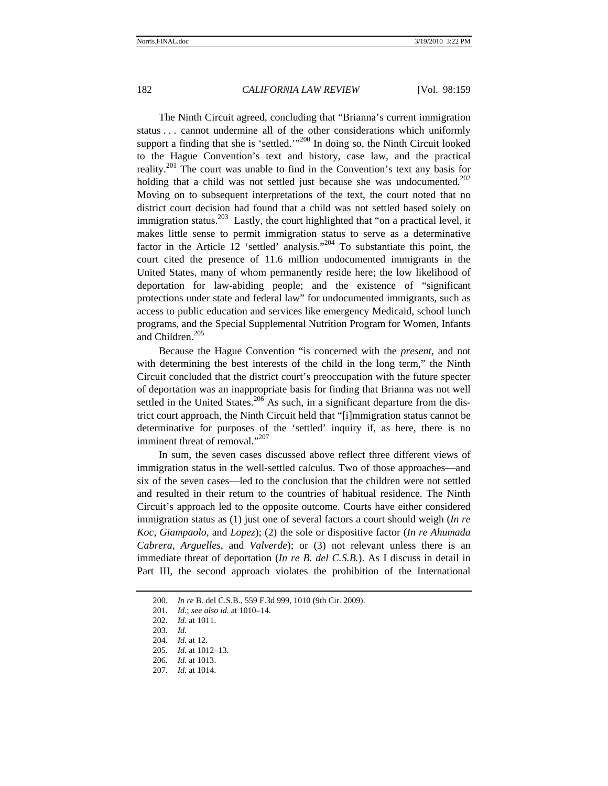The Ninth Circuit agreed, concluding that "Brianna's current immigration status . . . cannot undermine all of the other considerations which uniformly support a finding that she is 'settled.' $1^{200}$  In doing so, the Ninth Circuit looked to the Hague Convention's text and history, case law, and the practical reality.<sup>201</sup> The court was unable to find in the Convention's text any basis for holding that a child was not settled just because she was undocumented.<sup>202</sup> Moving on to subsequent interpretations of the text, the court noted that no district court decision had found that a child was not settled based solely on immigration status.<sup>203</sup> Lastly, the court highlighted that "on a practical level, it makes little sense to permit immigration status to serve as a determinative factor in the Article  $12$  'settled' analysis."<sup>204</sup> To substantiate this point, the court cited the presence of 11.6 million undocumented immigrants in the United States, many of whom permanently reside here; the low likelihood of deportation for law-abiding people; and the existence of "significant protections under state and federal law" for undocumented immigrants, such as access to public education and services like emergency Medicaid, school lunch programs, and the Special Supplemental Nutrition Program for Women, Infants and Children.<sup>205</sup>

Because the Hague Convention "is concerned with the *present*, and not with determining the best interests of the child in the long term," the Ninth Circuit concluded that the district court's preoccupation with the future specter of deportation was an inappropriate basis for finding that Brianna was not well settled in the United States.<sup>206</sup> As such, in a significant departure from the district court approach, the Ninth Circuit held that "[i]mmigration status cannot be determinative for purposes of the 'settled' inquiry if, as here, there is no imminent threat of removal."<sup>207</sup>

In sum, the seven cases discussed above reflect three different views of immigration status in the well-settled calculus. Two of those approaches—and six of the seven cases—led to the conclusion that the children were not settled and resulted in their return to the countries of habitual residence. The Ninth Circuit's approach led to the opposite outcome. Courts have either considered immigration status as (1) just one of several factors a court should weigh (*In re Koc*, *Giampaolo*, and *Lopez*); (2) the sole or dispositive factor (*In re Ahumada Cabrera*, *Arguelles*, and *Valverde*); or (3) not relevant unless there is an immediate threat of deportation (*In re B. del C.S.B.*). As I discuss in detail in Part III, the second approach violates the prohibition of the International

<sup>200.</sup> *In re* B. del C.S.B., 559 F.3d 999, 1010 (9th Cir. 2009).

<sup>201.</sup> *Id.*; *see also id.* at 1010–14.

<sup>202.</sup> *Id.* at 1011.

<sup>203.</sup> *Id.*

<sup>204.</sup> *Id.* at 12.

<sup>205.</sup> *Id.* at 1012–13.

<sup>206.</sup> *Id.* at 1013.

<sup>207.</sup> *Id.* at 1014.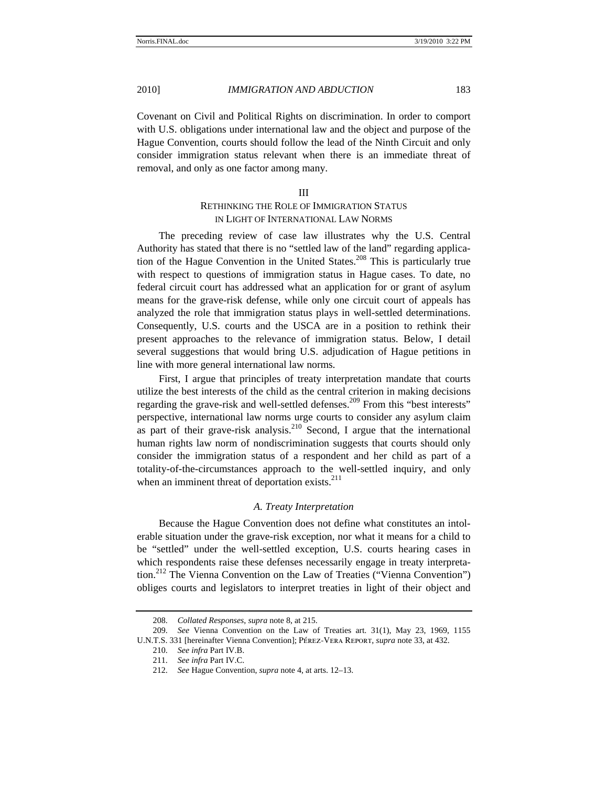Covenant on Civil and Political Rights on discrimination. In order to comport with U.S. obligations under international law and the object and purpose of the Hague Convention, courts should follow the lead of the Ninth Circuit and only consider immigration status relevant when there is an immediate threat of removal, and only as one factor among many.

#### III

# RETHINKING THE ROLE OF IMMIGRATION STATUS IN LIGHT OF INTERNATIONAL LAW NORMS

The preceding review of case law illustrates why the U.S. Central Authority has stated that there is no "settled law of the land" regarding application of the Hague Convention in the United States.<sup>208</sup> This is particularly true with respect to questions of immigration status in Hague cases. To date, no federal circuit court has addressed what an application for or grant of asylum means for the grave-risk defense, while only one circuit court of appeals has analyzed the role that immigration status plays in well-settled determinations. Consequently, U.S. courts and the USCA are in a position to rethink their present approaches to the relevance of immigration status. Below, I detail several suggestions that would bring U.S. adjudication of Hague petitions in line with more general international law norms.

First, I argue that principles of treaty interpretation mandate that courts utilize the best interests of the child as the central criterion in making decisions regarding the grave-risk and well-settled defenses.<sup>209</sup> From this "best interests" perspective, international law norms urge courts to consider any asylum claim as part of their grave-risk analysis.<sup>210</sup> Second, I argue that the international human rights law norm of nondiscrimination suggests that courts should only consider the immigration status of a respondent and her child as part of a totality-of-the-circumstances approach to the well-settled inquiry, and only when an imminent threat of deportation exists.<sup>211</sup>

## *A. Treaty Interpretation*

Because the Hague Convention does not define what constitutes an intolerable situation under the grave-risk exception, nor what it means for a child to be "settled" under the well-settled exception, U.S. courts hearing cases in which respondents raise these defenses necessarily engage in treaty interpretation.<sup>212</sup> The Vienna Convention on the Law of Treaties ("Vienna Convention") obliges courts and legislators to interpret treaties in light of their object and

<sup>208.</sup> *Collated Responses*, *supra* note 8, at 215.

<sup>209.</sup> *See* Vienna Convention on the Law of Treaties art. 31(1), May 23, 1969, 1155 U.N.T.S. 331 [hereinafter Vienna Convention]; Pérez-Vera Report, *supra* note 33, at 432.

<sup>210.</sup> *See infra* Part IV.B.

<sup>211.</sup> *See infra* Part IV.C.

<sup>212.</sup> *See* Hague Convention, *supra* note 4, at arts. 12–13.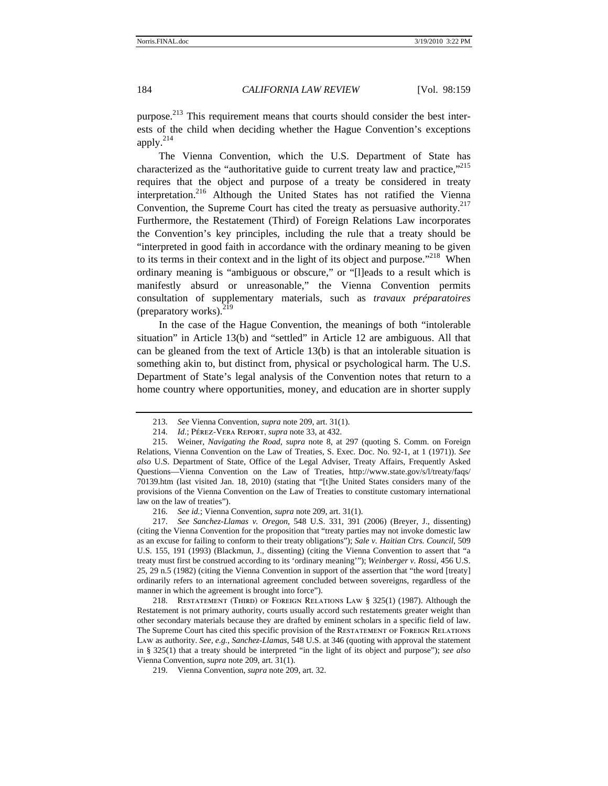purpose.<sup>213</sup> This requirement means that courts should consider the best interests of the child when deciding whether the Hague Convention's exceptions apply. $^{214}$ 

The Vienna Convention, which the U.S. Department of State has characterized as the "authoritative guide to current treaty law and practice,"<sup>215</sup> requires that the object and purpose of a treaty be considered in treaty interpretation.216 Although the United States has not ratified the Vienna Convention, the Supreme Court has cited the treaty as persuasive authority.<sup>217</sup> Furthermore, the Restatement (Third) of Foreign Relations Law incorporates the Convention's key principles, including the rule that a treaty should be "interpreted in good faith in accordance with the ordinary meaning to be given to its terms in their context and in the light of its object and purpose."<sup>218</sup> When ordinary meaning is "ambiguous or obscure," or "[l]eads to a result which is manifestly absurd or unreasonable," the Vienna Convention permits consultation of supplementary materials, such as *travaux préparatoires* (preparatory works). $^{219}$ 

In the case of the Hague Convention, the meanings of both "intolerable situation" in Article 13(b) and "settled" in Article 12 are ambiguous. All that can be gleaned from the text of Article 13(b) is that an intolerable situation is something akin to, but distinct from, physical or psychological harm. The U.S. Department of State's legal analysis of the Convention notes that return to a home country where opportunities, money, and education are in shorter supply

218. Restatement (Third) of Foreign Relations Law § 325(1) (1987). Although the Restatement is not primary authority, courts usually accord such restatements greater weight than other secondary materials because they are drafted by eminent scholars in a specific field of law. The Supreme Court has cited this specific provision of the Restatement of Foreign Relations Law as authority. *See, e.g.*, *Sanchez-Llamas*, 548 U.S. at 346 (quoting with approval the statement in § 325(1) that a treaty should be interpreted "in the light of its object and purpose"); *see also*  Vienna Convention, *supra* note 209, art. 31(1).

219. Vienna Convention, *supra* note 209, art. 32.

<sup>213.</sup> *See* Vienna Convention, *supra* note 209, art. 31(1).

<sup>214.</sup> *Id.*; Pérez-Vera Report, *supra* note 33, at 432.

<sup>215.</sup> Weiner, *Navigating the Road*, *supra* note 8, at 297 (quoting S. Comm. on Foreign Relations, Vienna Convention on the Law of Treaties, S. Exec. Doc. No. 92-1, at 1 (1971)). *See also* U.S. Department of State, Office of the Legal Adviser, Treaty Affairs, Frequently Asked Questions—Vienna Convention on the Law of Treaties, http://www.state.gov/s/l/treaty/faqs/ 70139.htm (last visited Jan. 18, 2010) (stating that "[t]he United States considers many of the provisions of the Vienna Convention on the Law of Treaties to constitute customary international law on the law of treaties").

<sup>216.</sup> *See id.*; Vienna Convention, *supra* note 209, art. 31(1).

<sup>217.</sup> *See Sanchez-Llamas v. Oregon*, 548 U.S. 331, 391 (2006) (Breyer, J., dissenting) (citing the Vienna Convention for the proposition that "treaty parties may not invoke domestic law as an excuse for failing to conform to their treaty obligations"); *Sale v. Haitian Ctrs. Council*, 509 U.S. 155, 191 (1993) (Blackmun, J., dissenting) (citing the Vienna Convention to assert that "a treaty must first be construed according to its 'ordinary meaning'"); *Weinberger v. Rossi*, 456 U.S. 25, 29 n.5 (1982) (citing the Vienna Convention in support of the assertion that "the word [treaty] ordinarily refers to an international agreement concluded between sovereigns, regardless of the manner in which the agreement is brought into force").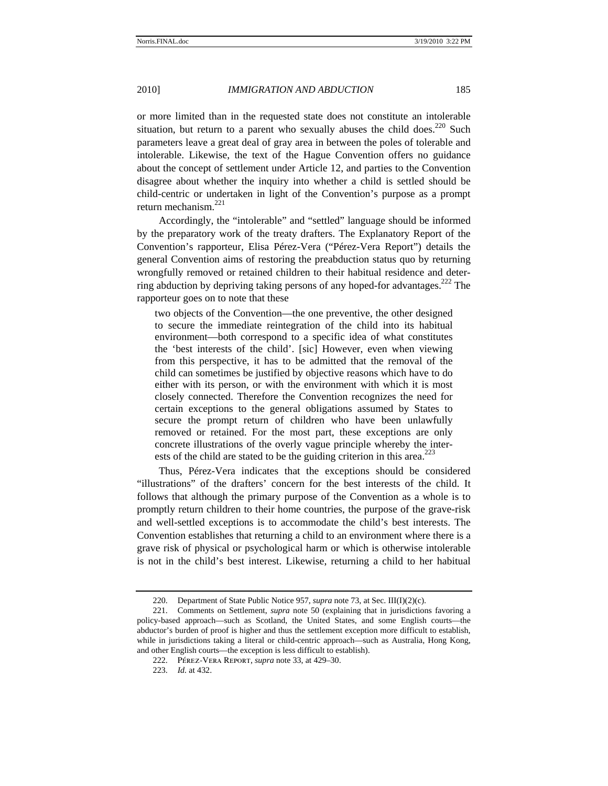or more limited than in the requested state does not constitute an intolerable situation, but return to a parent who sexually abuses the child does.<sup>220</sup> Such parameters leave a great deal of gray area in between the poles of tolerable and intolerable. Likewise, the text of the Hague Convention offers no guidance about the concept of settlement under Article 12, and parties to the Convention disagree about whether the inquiry into whether a child is settled should be child-centric or undertaken in light of the Convention's purpose as a prompt return mechanism.<sup>221</sup>

Accordingly, the "intolerable" and "settled" language should be informed by the preparatory work of the treaty drafters. The Explanatory Report of the Convention's rapporteur, Elisa Pérez-Vera ("Pérez-Vera Report") details the general Convention aims of restoring the preabduction status quo by returning wrongfully removed or retained children to their habitual residence and deterring abduction by depriving taking persons of any hoped-for advantages.222 The rapporteur goes on to note that these

two objects of the Convention—the one preventive, the other designed to secure the immediate reintegration of the child into its habitual environment—both correspond to a specific idea of what constitutes the 'best interests of the child'. [sic] However, even when viewing from this perspective, it has to be admitted that the removal of the child can sometimes be justified by objective reasons which have to do either with its person, or with the environment with which it is most closely connected. Therefore the Convention recognizes the need for certain exceptions to the general obligations assumed by States to secure the prompt return of children who have been unlawfully removed or retained. For the most part, these exceptions are only concrete illustrations of the overly vague principle whereby the interests of the child are stated to be the guiding criterion in this area. $^{223}$ 

Thus, Pérez-Vera indicates that the exceptions should be considered "illustrations" of the drafters' concern for the best interests of the child. It follows that although the primary purpose of the Convention as a whole is to promptly return children to their home countries, the purpose of the grave-risk and well-settled exceptions is to accommodate the child's best interests. The Convention establishes that returning a child to an environment where there is a grave risk of physical or psychological harm or which is otherwise intolerable is not in the child's best interest. Likewise, returning a child to her habitual

<sup>220.</sup> Department of State Public Notice 957, *supra* note 73, at Sec. III(I)(2)(c).

<sup>221.</sup> Comments on Settlement, *supra* note 50 (explaining that in jurisdictions favoring a policy-based approach—such as Scotland, the United States, and some English courts—the abductor's burden of proof is higher and thus the settlement exception more difficult to establish, while in jurisdictions taking a literal or child-centric approach—such as Australia, Hong Kong, and other English courts—the exception is less difficult to establish).

<sup>222.</sup> Pérez-Vera Report, *supra* note 33, at 429–30.

<sup>223.</sup> *Id.* at 432.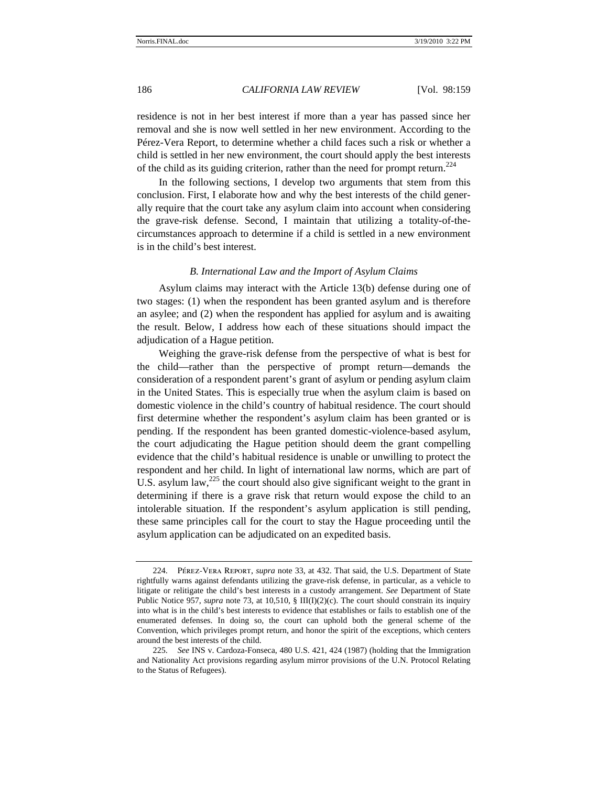residence is not in her best interest if more than a year has passed since her removal and she is now well settled in her new environment. According to the Pérez-Vera Report, to determine whether a child faces such a risk or whether a child is settled in her new environment, the court should apply the best interests of the child as its guiding criterion, rather than the need for prompt return.<sup>224</sup>

In the following sections, I develop two arguments that stem from this conclusion. First, I elaborate how and why the best interests of the child generally require that the court take any asylum claim into account when considering the grave-risk defense. Second, I maintain that utilizing a totality-of-thecircumstances approach to determine if a child is settled in a new environment is in the child's best interest.

#### *B. International Law and the Import of Asylum Claims*

Asylum claims may interact with the Article 13(b) defense during one of two stages: (1) when the respondent has been granted asylum and is therefore an asylee; and (2) when the respondent has applied for asylum and is awaiting the result. Below, I address how each of these situations should impact the adjudication of a Hague petition.

Weighing the grave-risk defense from the perspective of what is best for the child—rather than the perspective of prompt return—demands the consideration of a respondent parent's grant of asylum or pending asylum claim in the United States. This is especially true when the asylum claim is based on domestic violence in the child's country of habitual residence. The court should first determine whether the respondent's asylum claim has been granted or is pending. If the respondent has been granted domestic-violence-based asylum, the court adjudicating the Hague petition should deem the grant compelling evidence that the child's habitual residence is unable or unwilling to protect the respondent and her child. In light of international law norms, which are part of U.S. asylum law,  $^{225}$  the court should also give significant weight to the grant in determining if there is a grave risk that return would expose the child to an intolerable situation. If the respondent's asylum application is still pending, these same principles call for the court to stay the Hague proceeding until the asylum application can be adjudicated on an expedited basis.

<sup>224.</sup> Pérez-Vera Report, *supra* note 33, at 432. That said, the U.S. Department of State rightfully warns against defendants utilizing the grave-risk defense, in particular, as a vehicle to litigate or relitigate the child's best interests in a custody arrangement. *See* Department of State Public Notice 957, *supra* note 73, at 10,510, § III(I)(2)(c). The court should constrain its inquiry into what is in the child's best interests to evidence that establishes or fails to establish one of the enumerated defenses. In doing so, the court can uphold both the general scheme of the Convention, which privileges prompt return, and honor the spirit of the exceptions, which centers around the best interests of the child.

<sup>225.</sup> *See* INS v. Cardoza-Fonseca, 480 U.S. 421, 424 (1987) (holding that the Immigration and Nationality Act provisions regarding asylum mirror provisions of the U.N. Protocol Relating to the Status of Refugees).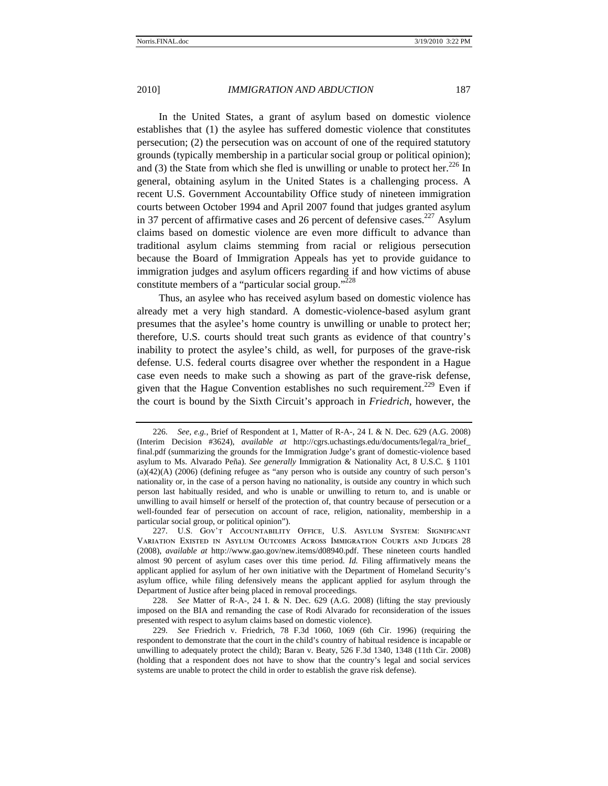In the United States, a grant of asylum based on domestic violence establishes that (1) the asylee has suffered domestic violence that constitutes persecution; (2) the persecution was on account of one of the required statutory grounds (typically membership in a particular social group or political opinion); and (3) the State from which she fled is unwilling or unable to protect her.<sup>226</sup> In general, obtaining asylum in the United States is a challenging process. A recent U.S. Government Accountability Office study of nineteen immigration courts between October 1994 and April 2007 found that judges granted asylum in 37 percent of affirmative cases and 26 percent of defensive cases.<sup>227</sup> Asylum claims based on domestic violence are even more difficult to advance than traditional asylum claims stemming from racial or religious persecution because the Board of Immigration Appeals has yet to provide guidance to immigration judges and asylum officers regarding if and how victims of abuse constitute members of a "particular social group."<sup>228</sup>

Thus, an asylee who has received asylum based on domestic violence has already met a very high standard. A domestic-violence-based asylum grant presumes that the asylee's home country is unwilling or unable to protect her; therefore, U.S. courts should treat such grants as evidence of that country's inability to protect the asylee's child, as well, for purposes of the grave-risk defense. U.S. federal courts disagree over whether the respondent in a Hague case even needs to make such a showing as part of the grave-risk defense, given that the Hague Convention establishes no such requirement.<sup>229</sup> Even if the court is bound by the Sixth Circuit's approach in *Friedrich*, however, the

<sup>226.</sup> *See, e.g.*, Brief of Respondent at 1, Matter of R-A-, 24 I. & N. Dec. 629 (A.G. 2008) (Interim Decision #3624), *available at* http://cgrs.uchastings.edu/documents/legal/ra\_brief\_ final.pdf (summarizing the grounds for the Immigration Judge's grant of domestic-violence based asylum to Ms. Alvarado Peña). *See generally* Immigration & Nationality Act, 8 U.S.C. § 1101 (a)(42)(A) (2006) (defining refugee as "any person who is outside any country of such person's nationality or, in the case of a person having no nationality, is outside any country in which such person last habitually resided, and who is unable or unwilling to return to, and is unable or unwilling to avail himself or herself of the protection of, that country because of persecution or a well-founded fear of persecution on account of race, religion, nationality, membership in a particular social group, or political opinion").

<sup>227.</sup> U.S. Gov't Accountability Office, U.S. Asylum System: Significant Variation Existed in Asylum Outcomes Across Immigration Courts and Judges 28 (2008), *available at* http://www.gao.gov/new.items/d08940.pdf. These nineteen courts handled almost 90 percent of asylum cases over this time period. *Id.* Filing affirmatively means the applicant applied for asylum of her own initiative with the Department of Homeland Security's asylum office, while filing defensively means the applicant applied for asylum through the Department of Justice after being placed in removal proceedings.

<sup>228.</sup> *See* Matter of R-A-, 24 I. & N. Dec. 629 (A.G. 2008) (lifting the stay previously imposed on the BIA and remanding the case of Rodi Alvarado for reconsideration of the issues presented with respect to asylum claims based on domestic violence).

<sup>229.</sup> *See* Friedrich v. Friedrich, 78 F.3d 1060, 1069 (6th Cir. 1996) (requiring the respondent to demonstrate that the court in the child's country of habitual residence is incapable or unwilling to adequately protect the child); Baran v. Beaty, 526 F.3d 1340, 1348 (11th Cir. 2008) (holding that a respondent does not have to show that the country's legal and social services systems are unable to protect the child in order to establish the grave risk defense).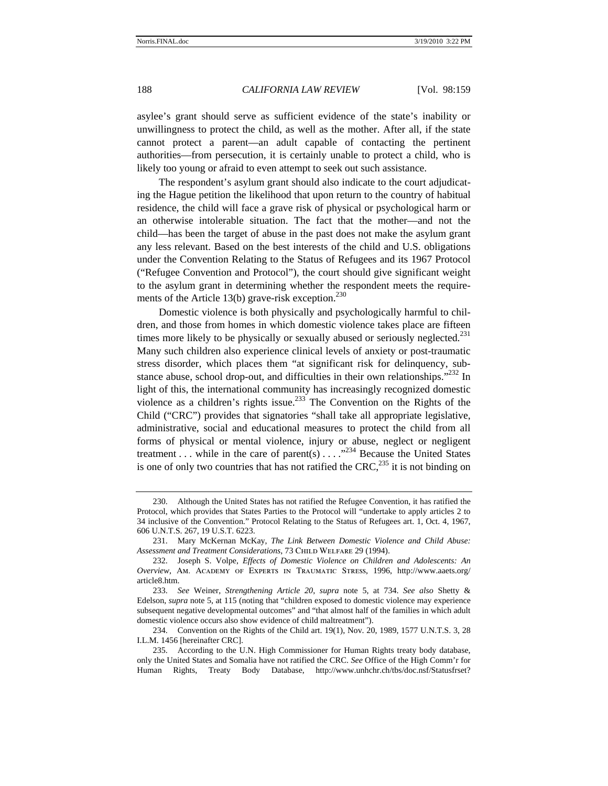asylee's grant should serve as sufficient evidence of the state's inability or unwillingness to protect the child, as well as the mother. After all, if the state cannot protect a parent—an adult capable of contacting the pertinent authorities—from persecution, it is certainly unable to protect a child, who is likely too young or afraid to even attempt to seek out such assistance.

The respondent's asylum grant should also indicate to the court adjudicating the Hague petition the likelihood that upon return to the country of habitual residence, the child will face a grave risk of physical or psychological harm or an otherwise intolerable situation. The fact that the mother—and not the child—has been the target of abuse in the past does not make the asylum grant any less relevant. Based on the best interests of the child and U.S. obligations under the Convention Relating to the Status of Refugees and its 1967 Protocol ("Refugee Convention and Protocol"), the court should give significant weight to the asylum grant in determining whether the respondent meets the requirements of the Article 13(b) grave-risk exception. $^{230}$ 

Domestic violence is both physically and psychologically harmful to children, and those from homes in which domestic violence takes place are fifteen times more likely to be physically or sexually abused or seriously neglected.<sup>231</sup> Many such children also experience clinical levels of anxiety or post-traumatic stress disorder, which places them "at significant risk for delinquency, substance abuse, school drop-out, and difficulties in their own relationships."<sup>232</sup> In light of this, the international community has increasingly recognized domestic violence as a children's rights issue.233 The Convention on the Rights of the Child ("CRC") provides that signatories "shall take all appropriate legislative, administrative, social and educational measures to protect the child from all forms of physical or mental violence, injury or abuse, neglect or negligent treatment . . . while in the care of parent(s)  $\dots$   $\cdot$   $\cdot$   $\cdot$   $\cdot$   $\cdot$  Because the United States is one of only two countries that has not ratified the  $CRC<sup>235</sup>$  it is not binding on

<sup>230.</sup> Although the United States has not ratified the Refugee Convention, it has ratified the Protocol, which provides that States Parties to the Protocol will "undertake to apply articles 2 to 34 inclusive of the Convention." Protocol Relating to the Status of Refugees art. 1, Oct. 4, 1967, 606 U.N.T.S. 267, 19 U.S.T. 6223.

<sup>231.</sup> Mary McKernan McKay, *The Link Between Domestic Violence and Child Abuse:*  Assessment and Treatment Considerations, 73 CHILD WELFARE 29 (1994).

<sup>232.</sup> Joseph S. Volpe, *Effects of Domestic Violence on Children and Adolescents: An Overview*, Am. Academy of Experts in Traumatic Stress, 1996, http://www.aaets.org/ article8.htm.

<sup>233.</sup> *See* Weiner, *Strengthening Article 20*, *supra* note 5, at 734. *See also* Shetty & Edelson, *supra* note 5, at 115 (noting that "children exposed to domestic violence may experience subsequent negative developmental outcomes" and "that almost half of the families in which adult domestic violence occurs also show evidence of child maltreatment").

<sup>234.</sup> Convention on the Rights of the Child art. 19(1), Nov. 20, 1989, 1577 U.N.T.S. 3, 28 I.L.M. 1456 [hereinafter CRC].

<sup>235.</sup> According to the U.N. High Commissioner for Human Rights treaty body database, only the United States and Somalia have not ratified the CRC. *See* Office of the High Comm'r for Human Rights, Treaty Body Database, http://www.unhchr.ch/tbs/doc.nsf/Statusfrset?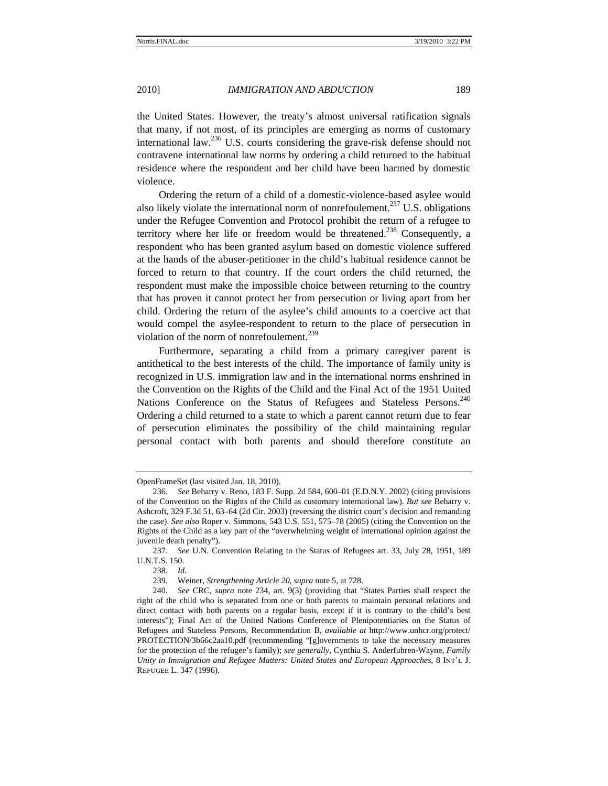the United States. However, the treaty's almost universal ratification signals that many, if not most, of its principles are emerging as norms of customary international law.236 U.S. courts considering the grave-risk defense should not contravene international law norms by ordering a child returned to the habitual residence where the respondent and her child have been harmed by domestic violence.

Ordering the return of a child of a domestic-violence-based asylee would also likely violate the international norm of nonrefoulement.<sup>237</sup> U.S. obligations under the Refugee Convention and Protocol prohibit the return of a refugee to territory where her life or freedom would be threatened.<sup>238</sup> Consequently, a respondent who has been granted asylum based on domestic violence suffered at the hands of the abuser-petitioner in the child's habitual residence cannot be forced to return to that country. If the court orders the child returned, the respondent must make the impossible choice between returning to the country that has proven it cannot protect her from persecution or living apart from her child. Ordering the return of the asylee's child amounts to a coercive act that would compel the asylee-respondent to return to the place of persecution in violation of the norm of nonrefoulement. $^{239}$ 

Furthermore, separating a child from a primary caregiver parent is antithetical to the best interests of the child. The importance of family unity is recognized in U.S. immigration law and in the international norms enshrined in the Convention on the Rights of the Child and the Final Act of the 1951 United Nations Conference on the Status of Refugees and Stateless Persons.<sup>240</sup> Ordering a child returned to a state to which a parent cannot return due to fear of persecution eliminates the possibility of the child maintaining regular personal contact with both parents and should therefore constitute an

OpenFrameSet (last visited Jan. 18, 2010).

<sup>236.</sup> *See* Beharry v. Reno, 183 F. Supp. 2d 584, 600–01 (E.D.N.Y. 2002) (citing provisions of the Convention on the Rights of the Child as customary international law). *But see* Beharry v. Ashcroft, 329 F.3d 51, 63–64 (2d Cir. 2003) (reversing the district court's decision and remanding the case). *See also* Roper v. Simmons, 543 U.S. 551, 575–78 (2005) (citing the Convention on the Rights of the Child as a key part of the "overwhelming weight of international opinion against the juvenile death penalty").

<sup>237.</sup> *See* U.N. Convention Relating to the Status of Refugees art. 33, July 28, 1951, 189 U.N.T.S. 150.

<sup>238.</sup> *Id.*

<sup>239.</sup> Weiner, *Strengthening Article 20*, *supra* note 5, at 728.

<sup>240.</sup> *See* CRC, *supra* note 234, art. 9(3) (providing that "States Parties shall respect the right of the child who is separated from one or both parents to maintain personal relations and direct contact with both parents on a regular basis, except if it is contrary to the child's best interests"); Final Act of the United Nations Conference of Plenipotentiaries on the Status of Refugees and Stateless Persons, Recommendation B, *available at* http://www.unhcr.org/protect/ PROTECTION/3b66c2aa10.pdf (recommending "[g]overnments to take the necessary measures for the protection of the refugee's family); *see generally*, Cynthia S. Anderfuhren-Wayne, *Family Unity in Immigration and Refugee Matters: United States and European Approaches*, 8 Int'l J. Refugee L. 347 (1996).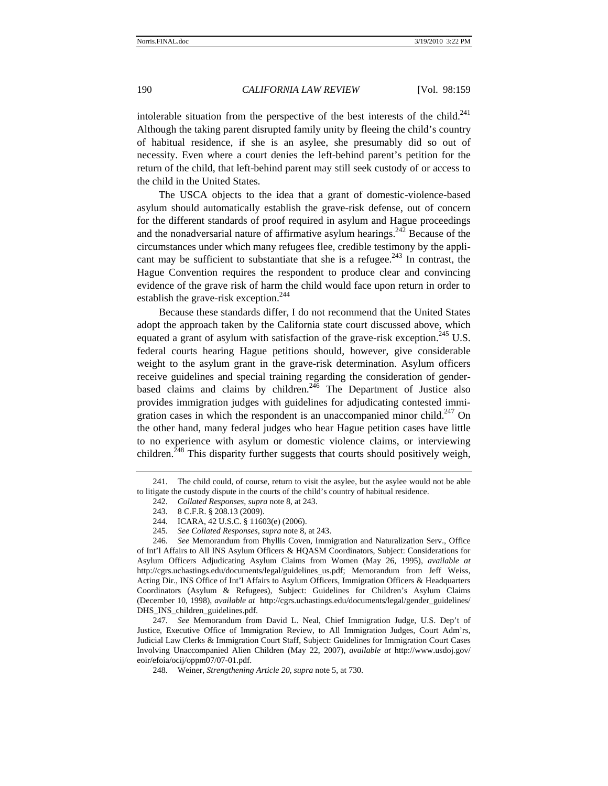intolerable situation from the perspective of the best interests of the child.<sup>241</sup> Although the taking parent disrupted family unity by fleeing the child's country of habitual residence, if she is an asylee, she presumably did so out of necessity. Even where a court denies the left-behind parent's petition for the return of the child, that left-behind parent may still seek custody of or access to the child in the United States.

The USCA objects to the idea that a grant of domestic-violence-based asylum should automatically establish the grave-risk defense, out of concern for the different standards of proof required in asylum and Hague proceedings and the nonadversarial nature of affirmative asylum hearings.<sup>242</sup> Because of the circumstances under which many refugees flee, credible testimony by the applicant may be sufficient to substantiate that she is a refugee.<sup>243</sup> In contrast, the Hague Convention requires the respondent to produce clear and convincing evidence of the grave risk of harm the child would face upon return in order to establish the grave-risk exception.<sup>244</sup>

Because these standards differ, I do not recommend that the United States adopt the approach taken by the California state court discussed above, which equated a grant of asylum with satisfaction of the grave-risk exception.<sup>245</sup> U.S. federal courts hearing Hague petitions should, however, give considerable weight to the asylum grant in the grave-risk determination. Asylum officers receive guidelines and special training regarding the consideration of genderbased claims and claims by children.<sup>246</sup> The Department of Justice also provides immigration judges with guidelines for adjudicating contested immigration cases in which the respondent is an unaccompanied minor child.<sup>247</sup> On the other hand, many federal judges who hear Hague petition cases have little to no experience with asylum or domestic violence claims, or interviewing children.<sup>248</sup> This disparity further suggests that courts should positively weigh,

247. *See* Memorandum from David L. Neal, Chief Immigration Judge, U.S. Dep't of Justice, Executive Office of Immigration Review, to All Immigration Judges, Court Adm'rs, Judicial Law Clerks & Immigration Court Staff, Subject: Guidelines for Immigration Court Cases Involving Unaccompanied Alien Children (May 22, 2007), *available at* http://www.usdoj.gov/ eoir/efoia/ocij/oppm07/07-01.pdf.

248. Weiner, *Strengthening Article 20*, *supra* note 5, at 730.

<sup>241.</sup> The child could, of course, return to visit the asylee, but the asylee would not be able to litigate the custody dispute in the courts of the child's country of habitual residence.

<sup>242.</sup> *Collated Responses*, *supra* note 8, at 243.

<sup>243. 8</sup> C.F.R. § 208.13 (2009).

<sup>244.</sup> ICARA, 42 U.S.C. § 11603(e) (2006).

<sup>245.</sup> *See Collated Responses*, *supra* note 8, at 243.

<sup>246.</sup> *See* Memorandum from Phyllis Coven, Immigration and Naturalization Serv., Office of Int'l Affairs to All INS Asylum Officers & HQASM Coordinators, Subject: Considerations for Asylum Officers Adjudicating Asylum Claims from Women (May 26, 1995), *available at*  http://cgrs.uchastings.edu/documents/legal/guidelines\_us.pdf; Memorandum from Jeff Weiss, Acting Dir., INS Office of Int'l Affairs to Asylum Officers, Immigration Officers & Headquarters Coordinators (Asylum & Refugees), Subject: Guidelines for Children's Asylum Claims (December 10, 1998), *available at* http://cgrs.uchastings.edu/documents/legal/gender\_guidelines/ DHS\_INS\_children\_guidelines.pdf.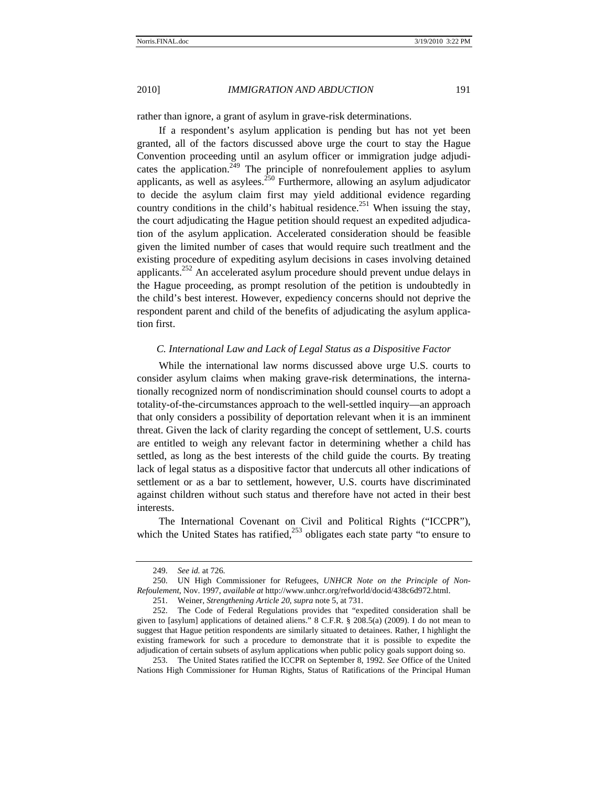rather than ignore, a grant of asylum in grave-risk determinations.

If a respondent's asylum application is pending but has not yet been granted, all of the factors discussed above urge the court to stay the Hague Convention proceeding until an asylum officer or immigration judge adjudicates the application.<sup>249</sup> The principle of nonrefoulement applies to asylum applicants, as well as asylees.<sup>250</sup> Furthermore, allowing an asylum adjudicator to decide the asylum claim first may yield additional evidence regarding country conditions in the child's habitual residence.<sup>251</sup> When issuing the stay, the court adjudicating the Hague petition should request an expedited adjudication of the asylum application. Accelerated consideration should be feasible given the limited number of cases that would require such treatlment and the existing procedure of expediting asylum decisions in cases involving detained applicants.<sup>252</sup> An accelerated asylum procedure should prevent undue delays in the Hague proceeding, as prompt resolution of the petition is undoubtedly in the child's best interest. However, expediency concerns should not deprive the respondent parent and child of the benefits of adjudicating the asylum application first.

## *C. International Law and Lack of Legal Status as a Dispositive Factor*

While the international law norms discussed above urge U.S. courts to consider asylum claims when making grave-risk determinations, the internationally recognized norm of nondiscrimination should counsel courts to adopt a totality-of-the-circumstances approach to the well-settled inquiry—an approach that only considers a possibility of deportation relevant when it is an imminent threat. Given the lack of clarity regarding the concept of settlement, U.S. courts are entitled to weigh any relevant factor in determining whether a child has settled, as long as the best interests of the child guide the courts. By treating lack of legal status as a dispositive factor that undercuts all other indications of settlement or as a bar to settlement, however, U.S. courts have discriminated against children without such status and therefore have not acted in their best interests.

The International Covenant on Civil and Political Rights ("ICCPR"), which the United States has ratified, $253$  obligates each state party "to ensure to

<sup>249.</sup> *See id.* at 726.

<sup>250.</sup> UN High Commissioner for Refugees, *UNHCR Note on the Principle of Non-Refoulement*, Nov. 1997, *available at* http://www.unhcr.org/refworld/docid/438c6d972.html.

<sup>251.</sup> Weiner, *Strengthening Article 20*, *supra* note 5, at 731.

<sup>252.</sup> The Code of Federal Regulations provides that "expedited consideration shall be given to [asylum] applications of detained aliens." 8 C.F.R. § 208.5(a) (2009). I do not mean to suggest that Hague petition respondents are similarly situated to detainees. Rather, I highlight the existing framework for such a procedure to demonstrate that it is possible to expedite the adjudication of certain subsets of asylum applications when public policy goals support doing so.

<sup>253.</sup> The United States ratified the ICCPR on September 8, 1992. *See* Office of the United Nations High Commissioner for Human Rights, Status of Ratifications of the Principal Human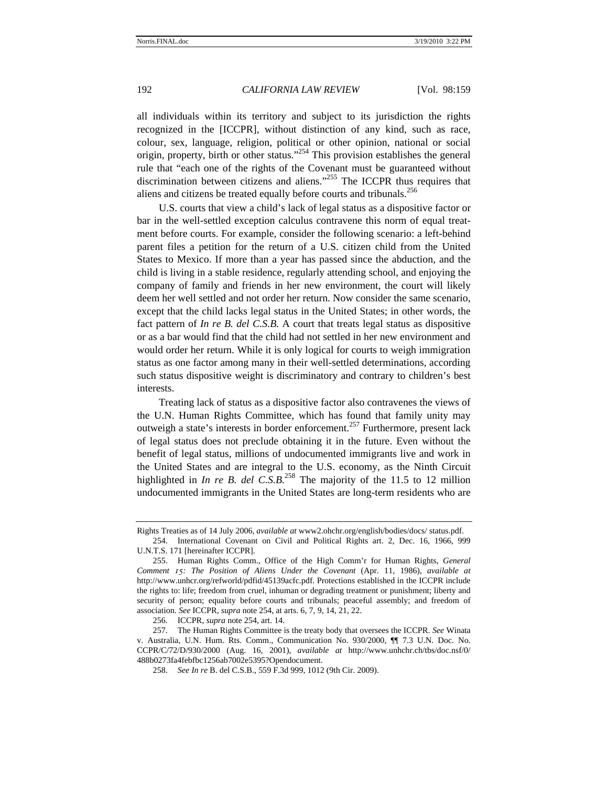all individuals within its territory and subject to its jurisdiction the rights recognized in the [ICCPR], without distinction of any kind, such as race, colour, sex, language, religion, political or other opinion, national or social origin, property, birth or other status."254 This provision establishes the general rule that "each one of the rights of the Covenant must be guaranteed without discrimination between citizens and aliens."<sup>255</sup> The ICCPR thus requires that aliens and citizens be treated equally before courts and tribunals.256

U.S. courts that view a child's lack of legal status as a dispositive factor or bar in the well-settled exception calculus contravene this norm of equal treatment before courts. For example, consider the following scenario: a left-behind parent files a petition for the return of a U.S. citizen child from the United States to Mexico. If more than a year has passed since the abduction, and the child is living in a stable residence, regularly attending school, and enjoying the company of family and friends in her new environment, the court will likely deem her well settled and not order her return. Now consider the same scenario, except that the child lacks legal status in the United States; in other words, the fact pattern of *In re B. del C.S.B.* A court that treats legal status as dispositive or as a bar would find that the child had not settled in her new environment and would order her return. While it is only logical for courts to weigh immigration status as one factor among many in their well-settled determinations, according such status dispositive weight is discriminatory and contrary to children's best interests.

Treating lack of status as a dispositive factor also contravenes the views of the U.N. Human Rights Committee, which has found that family unity may outweigh a state's interests in border enforcement.257 Furthermore, present lack of legal status does not preclude obtaining it in the future. Even without the benefit of legal status, millions of undocumented immigrants live and work in the United States and are integral to the U.S. economy, as the Ninth Circuit highlighted in *In re B. del C.S.B.*<sup>258</sup> The majority of the 11.5 to 12 million undocumented immigrants in the United States are long-term residents who are

Rights Treaties as of 14 July 2006, *available at* www2.ohchr.org/english/bodies/docs/ status.pdf.

<sup>254.</sup> International Covenant on Civil and Political Rights art. 2, Dec. 16, 1966, 999 U.N.T.S. 171 [hereinafter ICCPR].

<sup>255.</sup> Human Rights Comm., Office of the High Comm'r for Human Rights, *General Comment 15: The Position of Aliens Under the Covenant* (Apr. 11, 1986), *available at*  http://www.unhcr.org/refworld/pdfid/45139acfc.pdf. Protections established in the ICCPR include the rights to: life; freedom from cruel, inhuman or degrading treatment or punishment; liberty and security of person; equality before courts and tribunals; peaceful assembly; and freedom of association. *See* ICCPR, *supra* note 254, at arts. 6, 7, 9, 14, 21, 22.

<sup>256.</sup> ICCPR, *supra* note 254, art. 14.

<sup>257.</sup> The Human Rights Committee is the treaty body that oversees the ICCPR. *See* Winata v. Australia, U.N. Hum. Rts. Comm., Communication No. 930/2000, ¶¶ 7.3 U.N. Doc. No. CCPR/C/72/D/930/2000 (Aug. 16, 2001), *available at* http://www.unhchr.ch/tbs/doc.nsf/0/ 488b0273fa4febfbc1256ab7002e5395?Opendocument.

<sup>258.</sup> *See In re* B. del C.S.B., 559 F.3d 999, 1012 (9th Cir. 2009).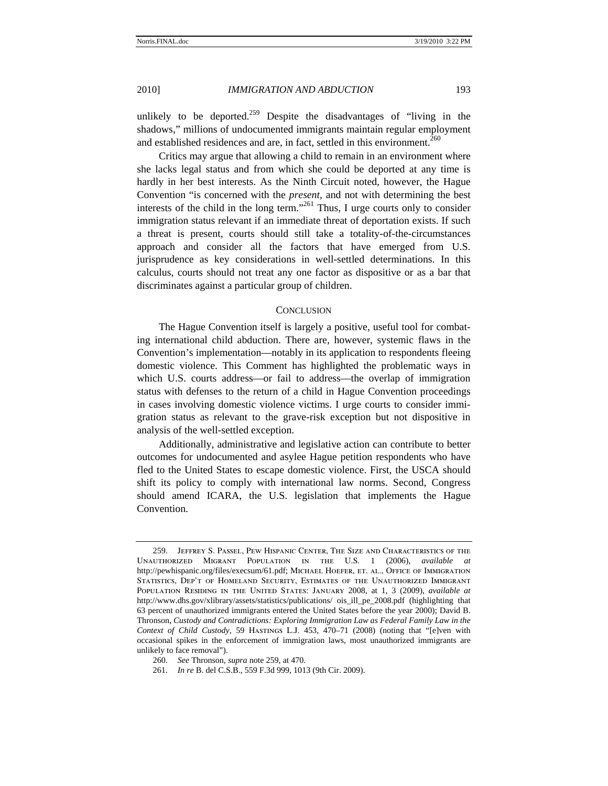unlikely to be deported.<sup>259</sup> Despite the disadvantages of "living in the shadows," millions of undocumented immigrants maintain regular employment and established residences and are, in fact, settled in this environment.<sup>260</sup>

Critics may argue that allowing a child to remain in an environment where she lacks legal status and from which she could be deported at any time is hardly in her best interests. As the Ninth Circuit noted, however, the Hague Convention "is concerned with the *present*, and not with determining the best interests of the child in the long term."261 Thus, I urge courts only to consider immigration status relevant if an immediate threat of deportation exists. If such a threat is present, courts should still take a totality-of-the-circumstances approach and consider all the factors that have emerged from U.S. jurisprudence as key considerations in well-settled determinations. In this calculus, courts should not treat any one factor as dispositive or as a bar that discriminates against a particular group of children.

## **CONCLUSION**

The Hague Convention itself is largely a positive, useful tool for combating international child abduction. There are, however, systemic flaws in the Convention's implementation—notably in its application to respondents fleeing domestic violence. This Comment has highlighted the problematic ways in which U.S. courts address—or fail to address—the overlap of immigration status with defenses to the return of a child in Hague Convention proceedings in cases involving domestic violence victims. I urge courts to consider immigration status as relevant to the grave-risk exception but not dispositive in analysis of the well-settled exception.

Additionally, administrative and legislative action can contribute to better outcomes for undocumented and asylee Hague petition respondents who have fled to the United States to escape domestic violence. First, the USCA should shift its policy to comply with international law norms. Second, Congress should amend ICARA, the U.S. legislation that implements the Hague Convention.

<sup>259.</sup> Jeffrey S. Passel, Pew Hispanic Center, The Size and Characteristics of the Unauthorized Migrant Population in the U.S. 1 (2006), *available at* http://pewhispanic.org/files/execsum/61.pdf; MICHAEL HOEFER, ET. AL., OFFICE OF IMMIGRATION Statistics, Dep't of Homeland Security, Estimates of the Unauthorized Immigrant Population Residing in the United States: January 2008, at 1, 3 (2009), *available at* http://www.dhs.gov/xlibrary/assets/statistics/publications/ ois\_ill\_pe\_2008.pdf (highlighting that 63 percent of unauthorized immigrants entered the United States before the year 2000); David B. Thronson, *Custody and Contradictions: Exploring Immigration Law as Federal Family Law in the Context of Child Custody*, 59 Hastings L.J. 453, 470–71 (2008) (noting that "[e]ven with occasional spikes in the enforcement of immigration laws, most unauthorized immigrants are unlikely to face removal").

<sup>260.</sup> *See* Thronson, *supra* note 259, at 470.

<sup>261.</sup> *In re* B. del C.S.B., 559 F.3d 999, 1013 (9th Cir. 2009).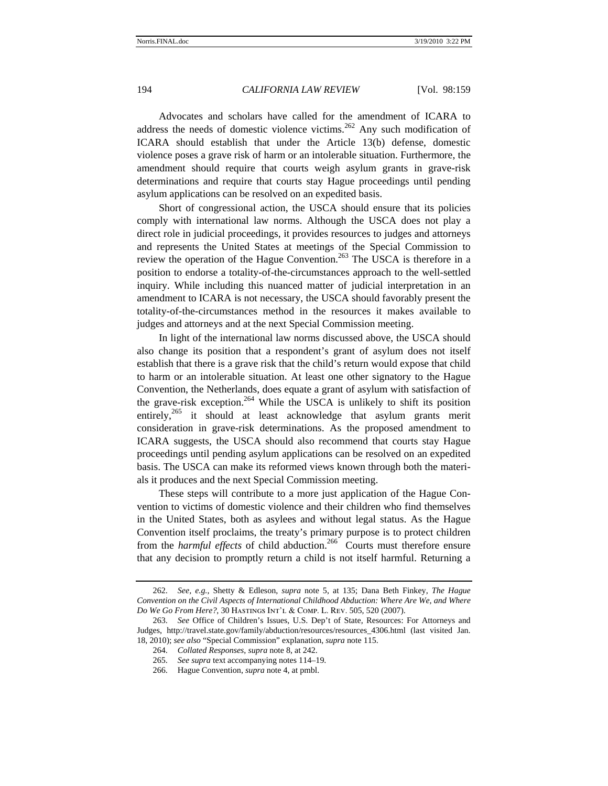Advocates and scholars have called for the amendment of ICARA to address the needs of domestic violence victims.<sup>262</sup> Any such modification of ICARA should establish that under the Article 13(b) defense, domestic violence poses a grave risk of harm or an intolerable situation. Furthermore, the amendment should require that courts weigh asylum grants in grave-risk determinations and require that courts stay Hague proceedings until pending asylum applications can be resolved on an expedited basis.

Short of congressional action, the USCA should ensure that its policies comply with international law norms. Although the USCA does not play a direct role in judicial proceedings, it provides resources to judges and attorneys and represents the United States at meetings of the Special Commission to review the operation of the Hague Convention.<sup>263</sup> The USCA is therefore in a position to endorse a totality-of-the-circumstances approach to the well-settled inquiry. While including this nuanced matter of judicial interpretation in an amendment to ICARA is not necessary, the USCA should favorably present the totality-of-the-circumstances method in the resources it makes available to judges and attorneys and at the next Special Commission meeting.

In light of the international law norms discussed above, the USCA should also change its position that a respondent's grant of asylum does not itself establish that there is a grave risk that the child's return would expose that child to harm or an intolerable situation. At least one other signatory to the Hague Convention, the Netherlands, does equate a grant of asylum with satisfaction of the grave-risk exception.<sup>264</sup> While the USCA is unlikely to shift its position entirely,<sup>265</sup> it should at least acknowledge that asylum grants merit consideration in grave-risk determinations. As the proposed amendment to ICARA suggests, the USCA should also recommend that courts stay Hague proceedings until pending asylum applications can be resolved on an expedited basis. The USCA can make its reformed views known through both the materials it produces and the next Special Commission meeting.

These steps will contribute to a more just application of the Hague Convention to victims of domestic violence and their children who find themselves in the United States, both as asylees and without legal status. As the Hague Convention itself proclaims, the treaty's primary purpose is to protect children from the *harmful effects* of child abduction.<sup>266</sup> Courts must therefore ensure that any decision to promptly return a child is not itself harmful. Returning a

<sup>262.</sup> *See, e.g.*, Shetty & Edleson, *supra* note 5, at 135; Dana Beth Finkey, *The Hague Convention on the Civil Aspects of International Childhood Abduction: Where Are We, and Where Do We Go From Here?*, 30 Hastings Int'l & Comp. L. Rev. 505, 520 (2007).

<sup>263.</sup> *See* Office of Children's Issues, U.S. Dep't of State, Resources: For Attorneys and Judges, http://travel.state.gov/family/abduction/resources/resources\_4306.html (last visited Jan. 18, 2010); *see also* "Special Commission" explanation, *supra* note 115.

<sup>264.</sup> *Collated Responses*, *supra* note 8, at 242.

<sup>265.</sup> *See supra* text accompanying notes 114–19.

<sup>266.</sup> Hague Convention, *supra* note 4, at pmbl.